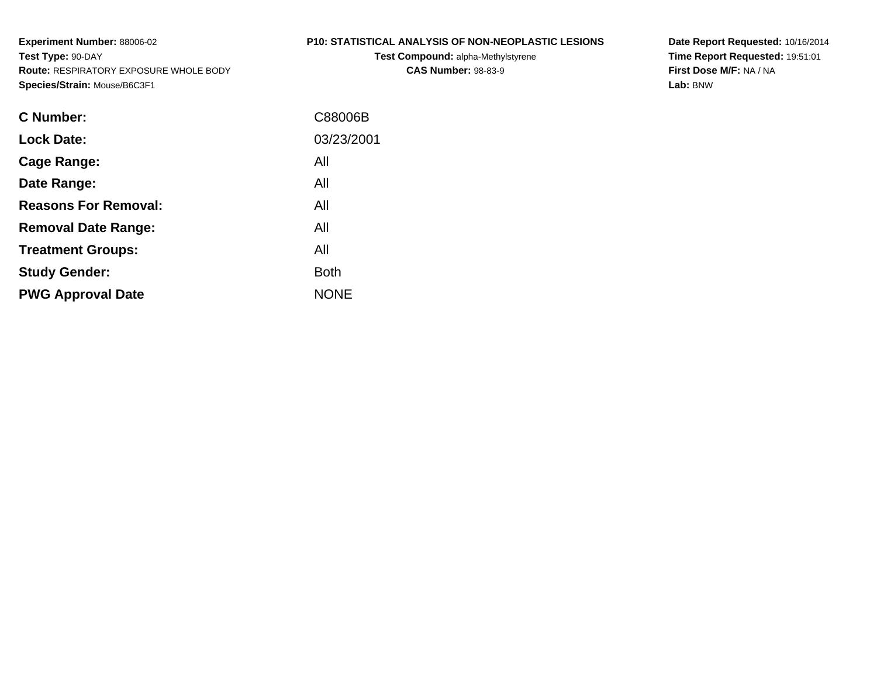#### **P10: STATISTICAL ANALYSIS OF NON-NEOPLASTIC LESIONS**

**Test Compound:** alpha-Methylstyrene**CAS Number:** 98-83-9

**Date Report Requested:** 10/16/2014 **Time Report Requested:** 19:51:01**First Dose M/F:** NA / NA**Lab:** BNW

| <b>C</b> Number:            | C88006B     |
|-----------------------------|-------------|
| <b>Lock Date:</b>           | 03/23/2001  |
| Cage Range:                 | All         |
| Date Range:                 | All         |
| <b>Reasons For Removal:</b> | All         |
| <b>Removal Date Range:</b>  | All         |
| <b>Treatment Groups:</b>    | All         |
| <b>Study Gender:</b>        | <b>Both</b> |
| <b>PWG Approval Date</b>    | <b>NONE</b> |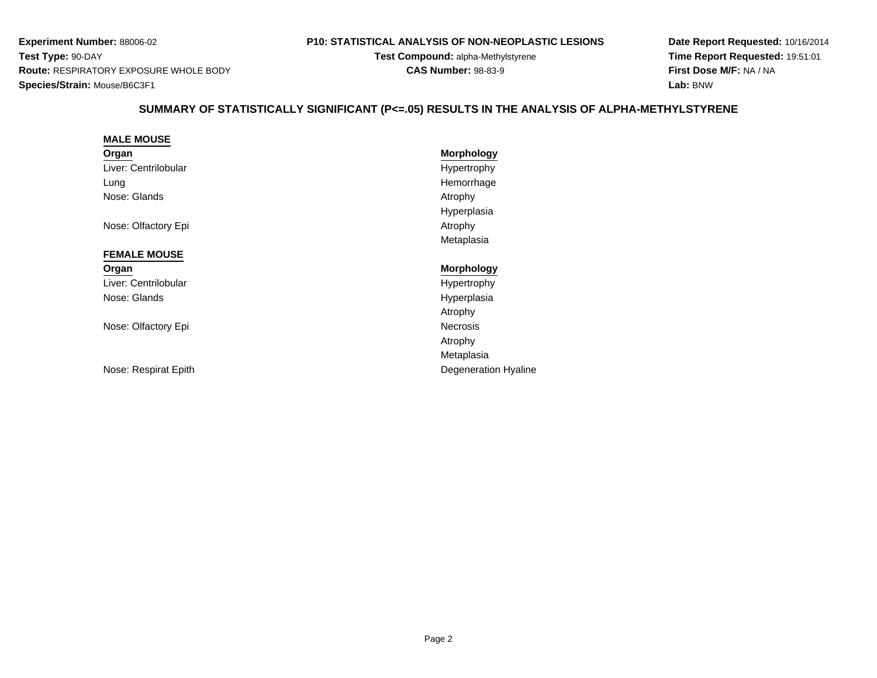#### **P10: STATISTICAL ANALYSIS OF NON-NEOPLASTIC LESIONS**

**Test Compound:** alpha-Methylstyrene**CAS Number:** 98-83-9

**Date Report Requested:** 10/16/2014**Time Report Requested:** 19:51:01**First Dose M/F:** NA / NA**Lab:** BNW

# **SUMMARY OF STATISTICALLY SIGNIFICANT (P<=.05) RESULTS IN THE ANALYSIS OF ALPHA-METHYLSTYRENE**

| <b>Morphology</b>    |
|----------------------|
| Hypertrophy          |
| Hemorrhage           |
| Atrophy              |
| Hyperplasia          |
| Atrophy              |
| Metaplasia           |
|                      |
| <b>Morphology</b>    |
| Hypertrophy          |
| Hyperplasia          |
| Atrophy              |
| <b>Necrosis</b>      |
| Atrophy              |
| Metaplasia           |
| Degeneration Hyaline |
|                      |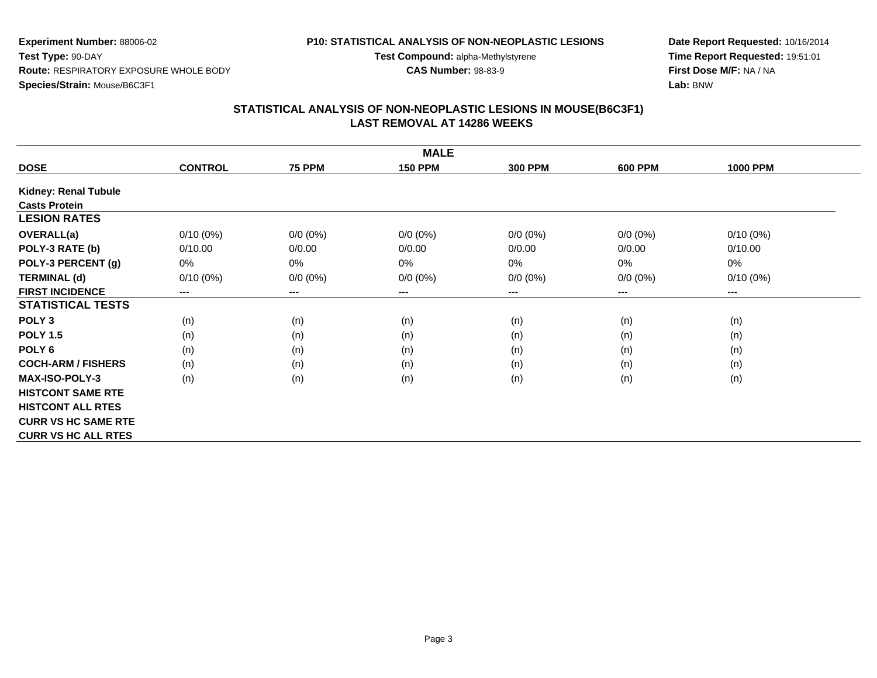#### **P10: STATISTICAL ANALYSIS OF NON-NEOPLASTIC LESIONS**

**Test Compound:** alpha-Methylstyrene

**CAS Number:** 98-83-9

**Date Report Requested:** 10/16/2014**Time Report Requested:** 19:51:01**First Dose M/F:** NA / NA**Lab:** BNW

| <b>MALE</b>                 |                |                        |                |                |                |                        |  |
|-----------------------------|----------------|------------------------|----------------|----------------|----------------|------------------------|--|
| <b>DOSE</b>                 | <b>CONTROL</b> | <b>75 PPM</b>          | <b>150 PPM</b> | <b>300 PPM</b> | <b>600 PPM</b> | <b>1000 PPM</b>        |  |
| <b>Kidney: Renal Tubule</b> |                |                        |                |                |                |                        |  |
| <b>Casts Protein</b>        |                |                        |                |                |                |                        |  |
| <b>LESION RATES</b>         |                |                        |                |                |                |                        |  |
| OVERALL(a)                  | $0/10(0\%)$    | $0/0 (0\%)$            | $0/0 (0\%)$    | $0/0 (0\%)$    | $0/0 (0\%)$    | $0/10(0\%)$            |  |
| POLY-3 RATE (b)             | 0/10.00        | 0/0.00                 | 0/0.00         | 0/0.00         | 0/0.00         | 0/10.00                |  |
| POLY-3 PERCENT (g)          | $0\%$          | $0\%$                  | 0%             | 0%             | 0%             | 0%                     |  |
| <b>TERMINAL (d)</b>         | $0/10(0\%)$    | $0/0 (0\%)$            | $0/0 (0\%)$    | $0/0 (0\%)$    | $0/0 (0\%)$    | $0/10(0\%)$            |  |
| <b>FIRST INCIDENCE</b>      | $---$          | $\qquad \qquad \cdots$ | $---$          | ---            | ---            | $\qquad \qquad \cdots$ |  |
| <b>STATISTICAL TESTS</b>    |                |                        |                |                |                |                        |  |
| POLY <sub>3</sub>           | (n)            | (n)                    | (n)            | (n)            | (n)            | (n)                    |  |
| <b>POLY 1.5</b>             | (n)            | (n)                    | (n)            | (n)            | (n)            | (n)                    |  |
| POLY 6                      | (n)            | (n)                    | (n)            | (n)            | (n)            | (n)                    |  |
| <b>COCH-ARM / FISHERS</b>   | (n)            | (n)                    | (n)            | (n)            | (n)            | (n)                    |  |
| <b>MAX-ISO-POLY-3</b>       | (n)            | (n)                    | (n)            | (n)            | (n)            | (n)                    |  |
| <b>HISTCONT SAME RTE</b>    |                |                        |                |                |                |                        |  |
| <b>HISTCONT ALL RTES</b>    |                |                        |                |                |                |                        |  |
| <b>CURR VS HC SAME RTE</b>  |                |                        |                |                |                |                        |  |
| <b>CURR VS HC ALL RTES</b>  |                |                        |                |                |                |                        |  |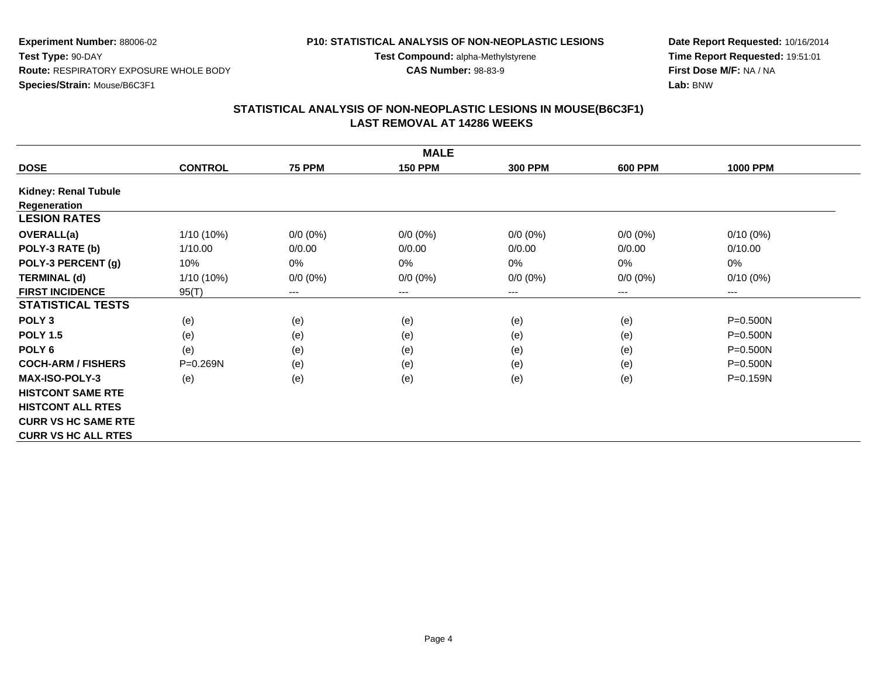#### **P10: STATISTICAL ANALYSIS OF NON-NEOPLASTIC LESIONS**

**Test Compound:** alpha-Methylstyrene

**CAS Number:** 98-83-9

**Date Report Requested:** 10/16/2014**Time Report Requested:** 19:51:01**First Dose M/F:** NA / NA**Lab:** BNW

|                             |                |               | <b>MALE</b>            |                |                |                 |  |
|-----------------------------|----------------|---------------|------------------------|----------------|----------------|-----------------|--|
| <b>DOSE</b>                 | <b>CONTROL</b> | <b>75 PPM</b> | <b>150 PPM</b>         | <b>300 PPM</b> | <b>600 PPM</b> | <b>1000 PPM</b> |  |
| <b>Kidney: Renal Tubule</b> |                |               |                        |                |                |                 |  |
| Regeneration                |                |               |                        |                |                |                 |  |
| <b>LESION RATES</b>         |                |               |                        |                |                |                 |  |
| <b>OVERALL(a)</b>           | 1/10 (10%)     | $0/0 (0\%)$   | $0/0 (0\%)$            | $0/0 (0\%)$    | $0/0 (0\%)$    | $0/10(0\%)$     |  |
| POLY-3 RATE (b)             | 1/10.00        | 0/0.00        | 0/0.00                 | 0/0.00         | 0/0.00         | 0/10.00         |  |
| POLY-3 PERCENT (g)          | 10%            | 0%            | 0%                     | 0%             | 0%             | 0%              |  |
| <b>TERMINAL (d)</b>         | $1/10(10\%)$   | $0/0 (0\%)$   | $0/0 (0\%)$            | $0/0 (0\%)$    | $0/0 (0\%)$    | $0/10(0\%)$     |  |
| <b>FIRST INCIDENCE</b>      | 95(T)          | $\cdots$      | $\qquad \qquad \cdots$ | ---            | $---$          | $\cdots$        |  |
| <b>STATISTICAL TESTS</b>    |                |               |                        |                |                |                 |  |
| POLY <sub>3</sub>           | (e)            | (e)           | (e)                    | (e)            | (e)            | $P = 0.500N$    |  |
| <b>POLY 1.5</b>             | (e)            | (e)           | (e)                    | (e)            | (e)            | $P = 0.500N$    |  |
| POLY 6                      | (e)            | (e)           | (e)                    | (e)            | (e)            | $P = 0.500N$    |  |
| <b>COCH-ARM / FISHERS</b>   | $P = 0.269N$   | (e)           | (e)                    | (e)            | (e)            | $P = 0.500N$    |  |
| <b>MAX-ISO-POLY-3</b>       | (e)            | (e)           | (e)                    | (e)            | (e)            | P=0.159N        |  |
| <b>HISTCONT SAME RTE</b>    |                |               |                        |                |                |                 |  |
| <b>HISTCONT ALL RTES</b>    |                |               |                        |                |                |                 |  |
| <b>CURR VS HC SAME RTE</b>  |                |               |                        |                |                |                 |  |
| <b>CURR VS HC ALL RTES</b>  |                |               |                        |                |                |                 |  |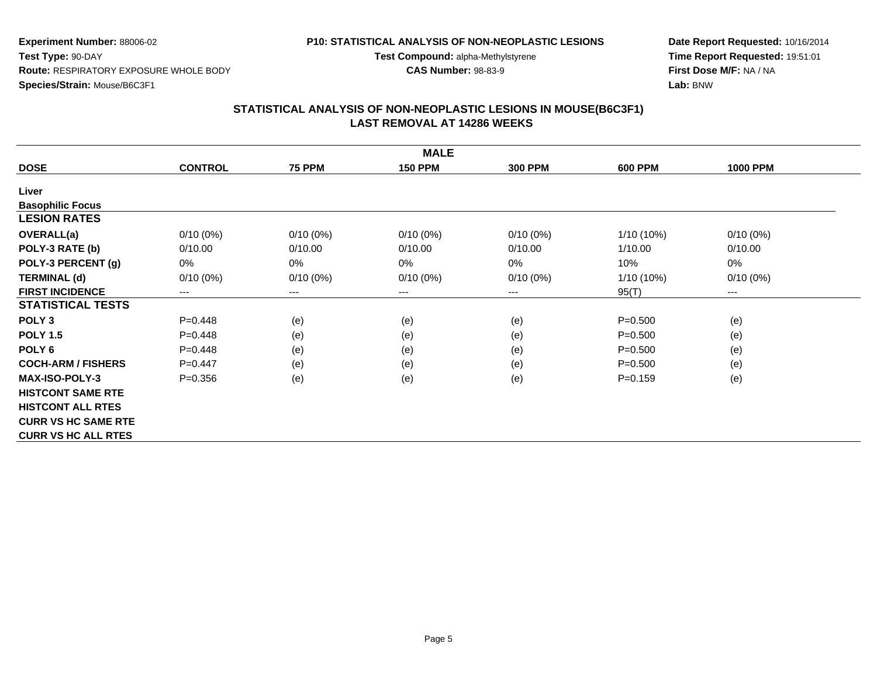# **P10: STATISTICAL ANALYSIS OF NON-NEOPLASTIC LESIONS**

**Test Compound:** alpha-Methylstyrene

**CAS Number:** 98-83-9

**Date Report Requested:** 10/16/2014**Time Report Requested:** 19:51:01**First Dose M/F:** NA / NA**Lab:** BNW

|                            |                |                        | <b>MALE</b>    |                |                |                        |  |
|----------------------------|----------------|------------------------|----------------|----------------|----------------|------------------------|--|
| <b>DOSE</b>                | <b>CONTROL</b> | <b>75 PPM</b>          | <b>150 PPM</b> | <b>300 PPM</b> | <b>600 PPM</b> | <b>1000 PPM</b>        |  |
| Liver                      |                |                        |                |                |                |                        |  |
| <b>Basophilic Focus</b>    |                |                        |                |                |                |                        |  |
| <b>LESION RATES</b>        |                |                        |                |                |                |                        |  |
| <b>OVERALL(a)</b>          | $0/10(0\%)$    | $0/10(0\%)$            | $0/10(0\%)$    | $0/10(0\%)$    | $1/10(10\%)$   | $0/10(0\%)$            |  |
| POLY-3 RATE (b)            | 0/10.00        | 0/10.00                | 0/10.00        | 0/10.00        | 1/10.00        | 0/10.00                |  |
| POLY-3 PERCENT (g)         | 0%             | 0%                     | 0%             | 0%             | 10%            | 0%                     |  |
| <b>TERMINAL (d)</b>        | $0/10(0\%)$    | $0/10(0\%)$            | $0/10(0\%)$    | $0/10(0\%)$    | $1/10(10\%)$   | $0/10(0\%)$            |  |
| <b>FIRST INCIDENCE</b>     | ---            | $\qquad \qquad \cdots$ | ---            | ---            | 95(T)          | $\qquad \qquad \cdots$ |  |
| <b>STATISTICAL TESTS</b>   |                |                        |                |                |                |                        |  |
| POLY <sub>3</sub>          | $P=0.448$      | (e)                    | (e)            | (e)            | $P = 0.500$    | (e)                    |  |
| <b>POLY 1.5</b>            | $P=0.448$      | (e)                    | (e)            | (e)            | $P = 0.500$    | (e)                    |  |
| POLY <sub>6</sub>          | $P=0.448$      | (e)                    | (e)            | (e)            | $P = 0.500$    | (e)                    |  |
| <b>COCH-ARM / FISHERS</b>  | $P=0.447$      | (e)                    | (e)            | (e)            | $P = 0.500$    | (e)                    |  |
| <b>MAX-ISO-POLY-3</b>      | $P = 0.356$    | (e)                    | (e)            | (e)            | $P = 0.159$    | (e)                    |  |
| <b>HISTCONT SAME RTE</b>   |                |                        |                |                |                |                        |  |
| <b>HISTCONT ALL RTES</b>   |                |                        |                |                |                |                        |  |
| <b>CURR VS HC SAME RTE</b> |                |                        |                |                |                |                        |  |
| <b>CURR VS HC ALL RTES</b> |                |                        |                |                |                |                        |  |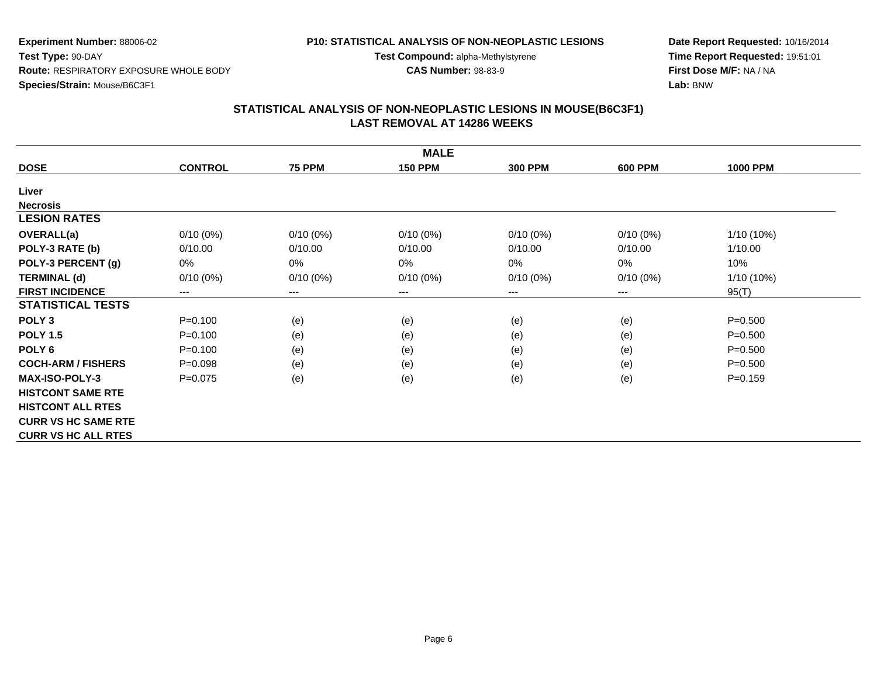# **P10: STATISTICAL ANALYSIS OF NON-NEOPLASTIC LESIONS**

**Test Compound:** alpha-Methylstyrene

**CAS Number:** 98-83-9

**Date Report Requested:** 10/16/2014**Time Report Requested:** 19:51:01**First Dose M/F:** NA / NA**Lab:** BNW

|                            |                |               | <b>MALE</b>    |                |                |                 |  |
|----------------------------|----------------|---------------|----------------|----------------|----------------|-----------------|--|
| <b>DOSE</b>                | <b>CONTROL</b> | <b>75 PPM</b> | <b>150 PPM</b> | <b>300 PPM</b> | <b>600 PPM</b> | <b>1000 PPM</b> |  |
| Liver                      |                |               |                |                |                |                 |  |
| <b>Necrosis</b>            |                |               |                |                |                |                 |  |
| <b>LESION RATES</b>        |                |               |                |                |                |                 |  |
| <b>OVERALL(a)</b>          | $0/10(0\%)$    | $0/10(0\%)$   | $0/10(0\%)$    | $0/10(0\%)$    | $0/10(0\%)$    | 1/10 (10%)      |  |
| POLY-3 RATE (b)            | 0/10.00        | 0/10.00       | 0/10.00        | 0/10.00        | 0/10.00        | 1/10.00         |  |
| POLY-3 PERCENT (g)         | $0\%$          | 0%            | 0%             | 0%             | 0%             | 10%             |  |
| <b>TERMINAL (d)</b>        | $0/10(0\%)$    | $0/10(0\%)$   | $0/10(0\%)$    | $0/10(0\%)$    | $0/10(0\%)$    | $1/10(10\%)$    |  |
| <b>FIRST INCIDENCE</b>     | ---            | $---$         | $--$           | ---            | ---            | 95(T)           |  |
| <b>STATISTICAL TESTS</b>   |                |               |                |                |                |                 |  |
| POLY <sub>3</sub>          | $P = 0.100$    | (e)           | (e)            | (e)            | (e)            | $P = 0.500$     |  |
| <b>POLY 1.5</b>            | $P = 0.100$    | (e)           | (e)            | (e)            | (e)            | $P = 0.500$     |  |
| POLY <sub>6</sub>          | $P = 0.100$    | (e)           | (e)            | (e)            | (e)            | $P = 0.500$     |  |
| <b>COCH-ARM / FISHERS</b>  | $P = 0.098$    | (e)           | (e)            | (e)            | (e)            | $P = 0.500$     |  |
| <b>MAX-ISO-POLY-3</b>      | $P=0.075$      | (e)           | (e)            | (e)            | (e)            | $P = 0.159$     |  |
| <b>HISTCONT SAME RTE</b>   |                |               |                |                |                |                 |  |
| <b>HISTCONT ALL RTES</b>   |                |               |                |                |                |                 |  |
| <b>CURR VS HC SAME RTE</b> |                |               |                |                |                |                 |  |
| <b>CURR VS HC ALL RTES</b> |                |               |                |                |                |                 |  |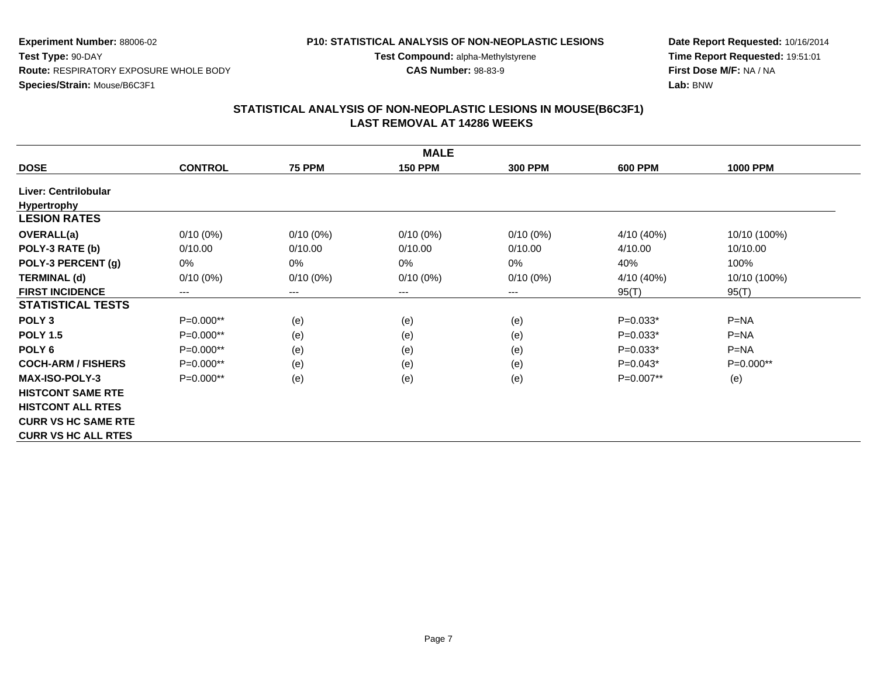#### **P10: STATISTICAL ANALYSIS OF NON-NEOPLASTIC LESIONS**

**Test Compound:** alpha-Methylstyrene

**CAS Number:** 98-83-9

**Date Report Requested:** 10/16/2014**Time Report Requested:** 19:51:01**First Dose M/F:** NA / NA**Lab:** BNW

| <b>MALE</b>                |                |                        |                |                |                |                 |
|----------------------------|----------------|------------------------|----------------|----------------|----------------|-----------------|
| <b>DOSE</b>                | <b>CONTROL</b> | <b>75 PPM</b>          | <b>150 PPM</b> | <b>300 PPM</b> | <b>600 PPM</b> | <b>1000 PPM</b> |
| Liver: Centrilobular       |                |                        |                |                |                |                 |
| <b>Hypertrophy</b>         |                |                        |                |                |                |                 |
| <b>LESION RATES</b>        |                |                        |                |                |                |                 |
| <b>OVERALL(a)</b>          | $0/10(0\%)$    | $0/10(0\%)$            | $0/10(0\%)$    | $0/10(0\%)$    | 4/10 (40%)     | 10/10 (100%)    |
| POLY-3 RATE (b)            | 0/10.00        | 0/10.00                | 0/10.00        | 0/10.00        | 4/10.00        | 10/10.00        |
| POLY-3 PERCENT (g)         | 0%             | $0\%$                  | $0\%$          | 0%             | 40%            | 100%            |
| <b>TERMINAL (d)</b>        | $0/10(0\%)$    | $0/10(0\%)$            | $0/10(0\%)$    | $0/10(0\%)$    | 4/10 (40%)     | 10/10 (100%)    |
| <b>FIRST INCIDENCE</b>     | $---$          | $\qquad \qquad \cdots$ | $--$           | ---            | 95(T)          | 95(T)           |
| <b>STATISTICAL TESTS</b>   |                |                        |                |                |                |                 |
| POLY <sub>3</sub>          | P=0.000**      | (e)                    | (e)            | (e)            | $P=0.033*$     | $P=NA$          |
| <b>POLY 1.5</b>            | $P=0.000**$    | (e)                    | (e)            | (e)            | $P=0.033*$     | $P = NA$        |
| POLY <sub>6</sub>          | $P=0.000**$    | (e)                    | (e)            | (e)            | $P=0.033*$     | $P=NA$          |
| <b>COCH-ARM / FISHERS</b>  | $P=0.000**$    | (e)                    | (e)            | (e)            | $P=0.043*$     | $P=0.000**$     |
| <b>MAX-ISO-POLY-3</b>      | P=0.000**      | (e)                    | (e)            | (e)            | P=0.007**      | (e)             |
| <b>HISTCONT SAME RTE</b>   |                |                        |                |                |                |                 |
| <b>HISTCONT ALL RTES</b>   |                |                        |                |                |                |                 |
| <b>CURR VS HC SAME RTE</b> |                |                        |                |                |                |                 |
| <b>CURR VS HC ALL RTES</b> |                |                        |                |                |                |                 |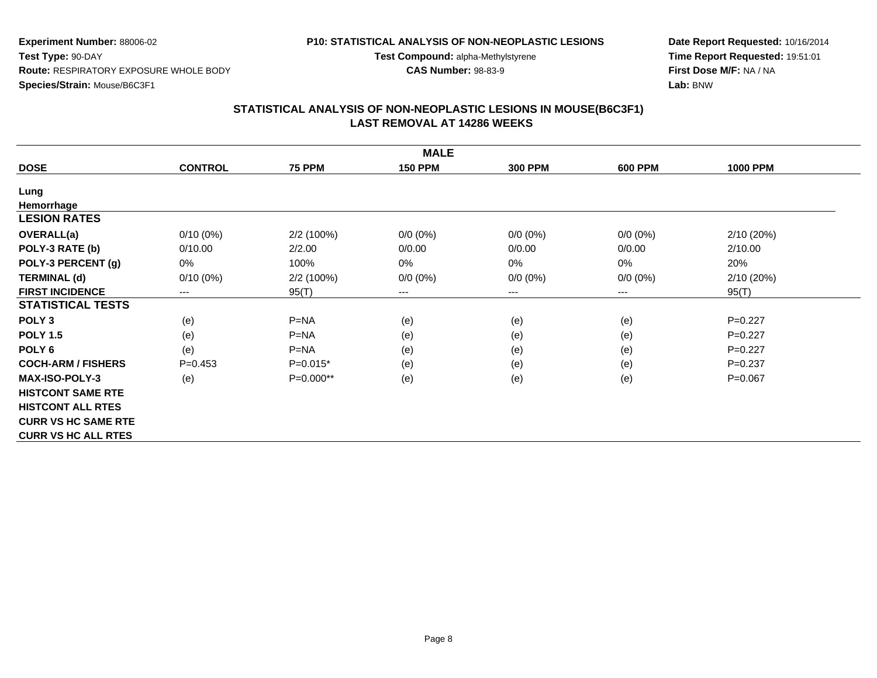#### **P10: STATISTICAL ANALYSIS OF NON-NEOPLASTIC LESIONS**

**Test Compound:** alpha-Methylstyrene

**CAS Number:** 98-83-9

**Date Report Requested:** 10/16/2014**Time Report Requested:** 19:51:01**First Dose M/F:** NA / NA**Lab:** BNW

|                            |                |               | <b>MALE</b>    |                |                |                 |  |
|----------------------------|----------------|---------------|----------------|----------------|----------------|-----------------|--|
| <b>DOSE</b>                | <b>CONTROL</b> | <b>75 PPM</b> | <b>150 PPM</b> | <b>300 PPM</b> | <b>600 PPM</b> | <b>1000 PPM</b> |  |
| Lung                       |                |               |                |                |                |                 |  |
| Hemorrhage                 |                |               |                |                |                |                 |  |
| <b>LESION RATES</b>        |                |               |                |                |                |                 |  |
| <b>OVERALL(a)</b>          | $0/10(0\%)$    | 2/2 (100%)    | $0/0 (0\%)$    | $0/0 (0\%)$    | $0/0 (0\%)$    | 2/10(20%)       |  |
| POLY-3 RATE (b)            | 0/10.00        | 2/2.00        | 0/0.00         | 0/0.00         | 0/0.00         | 2/10.00         |  |
| POLY-3 PERCENT (g)         | 0%             | 100%          | 0%             | 0%             | 0%             | 20%             |  |
| <b>TERMINAL (d)</b>        | $0/10(0\%)$    | 2/2 (100%)    | $0/0 (0\%)$    | $0/0 (0\%)$    | $0/0 (0\%)$    | 2/10(20%)       |  |
| <b>FIRST INCIDENCE</b>     | ---            | 95(T)         | $---$          | ---            | $---$          | 95(T)           |  |
| <b>STATISTICAL TESTS</b>   |                |               |                |                |                |                 |  |
| POLY <sub>3</sub>          | (e)            | $P = NA$      | (e)            | (e)            | (e)            | $P=0.227$       |  |
| <b>POLY 1.5</b>            | (e)            | $P = NA$      | (e)            | (e)            | (e)            | $P=0.227$       |  |
| POLY 6                     | (e)            | $P = NA$      | (e)            | (e)            | (e)            | $P=0.227$       |  |
| <b>COCH-ARM / FISHERS</b>  | $P = 0.453$    | $P=0.015*$    | (e)            | (e)            | (e)            | $P=0.237$       |  |
| <b>MAX-ISO-POLY-3</b>      | (e)            | P=0.000**     | (e)            | (e)            | (e)            | $P = 0.067$     |  |
| <b>HISTCONT SAME RTE</b>   |                |               |                |                |                |                 |  |
| <b>HISTCONT ALL RTES</b>   |                |               |                |                |                |                 |  |
| <b>CURR VS HC SAME RTE</b> |                |               |                |                |                |                 |  |
| <b>CURR VS HC ALL RTES</b> |                |               |                |                |                |                 |  |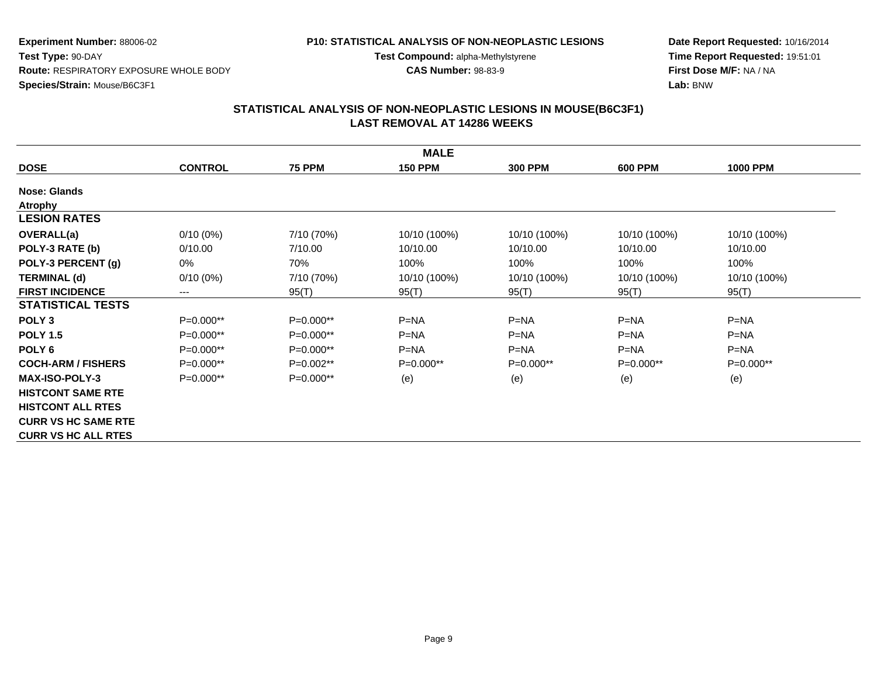#### **P10: STATISTICAL ANALYSIS OF NON-NEOPLASTIC LESIONS**

**Test Compound:** alpha-Methylstyrene

**CAS Number:** 98-83-9

**Date Report Requested:** 10/16/2014**Time Report Requested:** 19:51:01**First Dose M/F:** NA / NA**Lab:** BNW

|                            |                |               | <b>MALE</b>    |                |                |                 |
|----------------------------|----------------|---------------|----------------|----------------|----------------|-----------------|
| <b>DOSE</b>                | <b>CONTROL</b> | <b>75 PPM</b> | <b>150 PPM</b> | <b>300 PPM</b> | <b>600 PPM</b> | <b>1000 PPM</b> |
| <b>Nose: Glands</b>        |                |               |                |                |                |                 |
| <b>Atrophy</b>             |                |               |                |                |                |                 |
| <b>LESION RATES</b>        |                |               |                |                |                |                 |
| <b>OVERALL(a)</b>          | $0/10(0\%)$    | 7/10 (70%)    | 10/10 (100%)   | 10/10 (100%)   | 10/10 (100%)   | 10/10 (100%)    |
| POLY-3 RATE (b)            | 0/10.00        | 7/10.00       | 10/10.00       | 10/10.00       | 10/10.00       | 10/10.00        |
| POLY-3 PERCENT (g)         | 0%             | 70%           | 100%           | 100%           | 100%           | 100%            |
| <b>TERMINAL (d)</b>        | $0/10(0\%)$    | 7/10 (70%)    | 10/10 (100%)   | 10/10 (100%)   | 10/10 (100%)   | 10/10 (100%)    |
| <b>FIRST INCIDENCE</b>     | $---$          | 95(T)         | 95(T)          | 95(T)          | 95(T)          | 95(T)           |
| <b>STATISTICAL TESTS</b>   |                |               |                |                |                |                 |
| POLY <sub>3</sub>          | P=0.000**      | P=0.000**     | $P = NA$       | $P=NA$         | $P = NA$       | $P = NA$        |
| <b>POLY 1.5</b>            | P=0.000**      | P=0.000**     | $P = NA$       | $P=NA$         | $P = NA$       | $P = NA$        |
| POLY <sub>6</sub>          | P=0.000**      | P=0.000**     | $P = NA$       | $P = NA$       | $P = NA$       | $P = NA$        |
| <b>COCH-ARM / FISHERS</b>  | $P=0.000**$    | P=0.002**     | $P=0.000**$    | $P=0.000**$    | $P=0.000**$    | $P=0.000**$     |
| <b>MAX-ISO-POLY-3</b>      | $P=0.000**$    | $P=0.000**$   | (e)            | (e)            | (e)            | (e)             |
| <b>HISTCONT SAME RTE</b>   |                |               |                |                |                |                 |
| <b>HISTCONT ALL RTES</b>   |                |               |                |                |                |                 |
| <b>CURR VS HC SAME RTE</b> |                |               |                |                |                |                 |
| <b>CURR VS HC ALL RTES</b> |                |               |                |                |                |                 |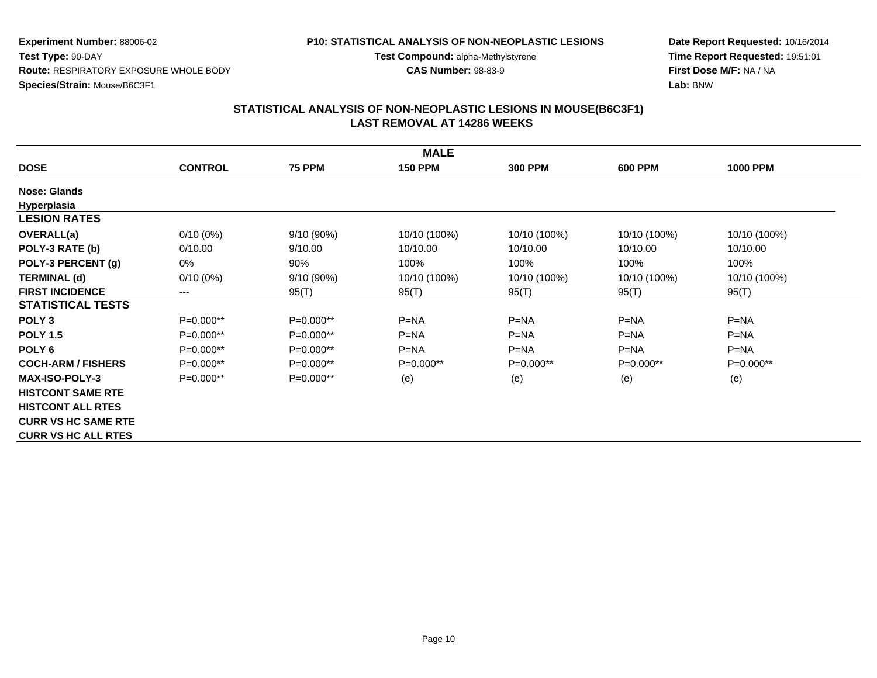# **P10: STATISTICAL ANALYSIS OF NON-NEOPLASTIC LESIONS**

**Test Compound:** alpha-Methylstyrene

**CAS Number:** 98-83-9

**Date Report Requested:** 10/16/2014**Time Report Requested:** 19:51:01**First Dose M/F:** NA / NA**Lab:** BNW

|                            |                |               | <b>MALE</b>    |                |                |                 |
|----------------------------|----------------|---------------|----------------|----------------|----------------|-----------------|
| <b>DOSE</b>                | <b>CONTROL</b> | <b>75 PPM</b> | <b>150 PPM</b> | <b>300 PPM</b> | <b>600 PPM</b> | <b>1000 PPM</b> |
| <b>Nose: Glands</b>        |                |               |                |                |                |                 |
| Hyperplasia                |                |               |                |                |                |                 |
| <b>LESION RATES</b>        |                |               |                |                |                |                 |
| <b>OVERALL(a)</b>          | $0/10(0\%)$    | $9/10(90\%)$  | 10/10 (100%)   | 10/10 (100%)   | 10/10 (100%)   | 10/10 (100%)    |
| POLY-3 RATE (b)            | 0/10.00        | 9/10.00       | 10/10.00       | 10/10.00       | 10/10.00       | 10/10.00        |
| POLY-3 PERCENT (g)         | $0\%$          | 90%           | 100%           | 100%           | 100%           | 100%            |
| <b>TERMINAL (d)</b>        | $0/10(0\%)$    | $9/10(90\%)$  | 10/10 (100%)   | 10/10 (100%)   | 10/10 (100%)   | 10/10 (100%)    |
| <b>FIRST INCIDENCE</b>     | ---            | 95(T)         | 95(T)          | 95(T)          | 95(T)          | 95(T)           |
| <b>STATISTICAL TESTS</b>   |                |               |                |                |                |                 |
| POLY <sub>3</sub>          | P=0.000**      | $P=0.000**$   | $P = NA$       | $P = NA$       | $P = NA$       | $P = NA$        |
| <b>POLY 1.5</b>            | P=0.000**      | $P=0.000**$   | $P = NA$       | $P=NA$         | $P = NA$       | $P=NA$          |
| POLY 6                     | P=0.000**      | $P=0.000**$   | $P = NA$       | $P = NA$       | $P = NA$       | $P = NA$        |
| <b>COCH-ARM / FISHERS</b>  | $P=0.000**$    | $P=0.000**$   | $P=0.000**$    | $P=0.000**$    | $P=0.000**$    | $P=0.000**$     |
| <b>MAX-ISO-POLY-3</b>      | $P=0.000**$    | $P=0.000**$   | (e)            | (e)            | (e)            | (e)             |
| <b>HISTCONT SAME RTE</b>   |                |               |                |                |                |                 |
| <b>HISTCONT ALL RTES</b>   |                |               |                |                |                |                 |
| <b>CURR VS HC SAME RTE</b> |                |               |                |                |                |                 |
| <b>CURR VS HC ALL RTES</b> |                |               |                |                |                |                 |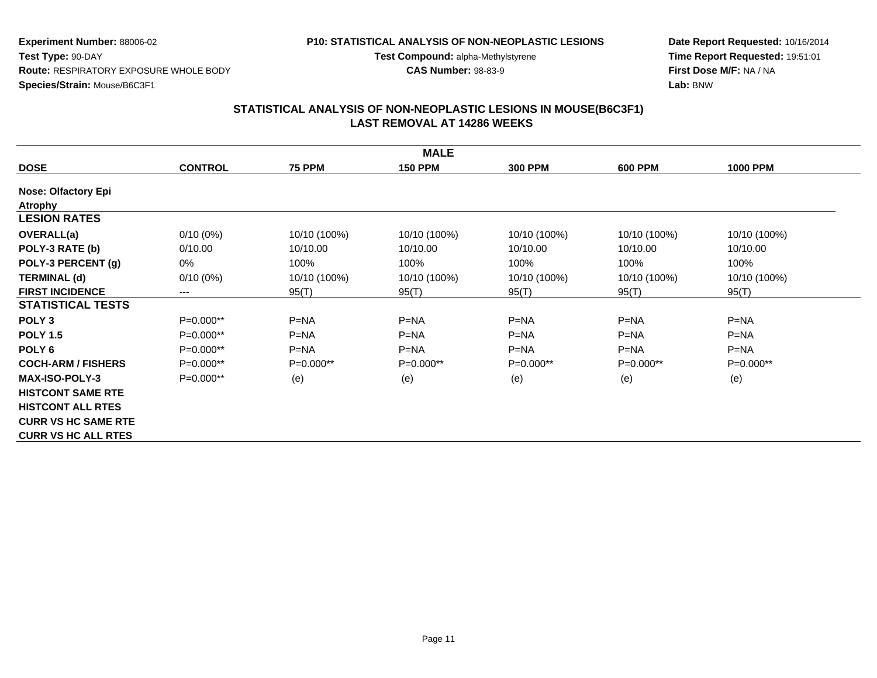# **P10: STATISTICAL ANALYSIS OF NON-NEOPLASTIC LESIONS**

**Test Compound:** alpha-Methylstyrene

**CAS Number:** 98-83-9

**Date Report Requested:** 10/16/2014**Time Report Requested:** 19:51:01**First Dose M/F:** NA / NA**Lab:** BNW

|                            |                |               | <b>MALE</b>    |                |                |                 |
|----------------------------|----------------|---------------|----------------|----------------|----------------|-----------------|
| <b>DOSE</b>                | <b>CONTROL</b> | <b>75 PPM</b> | <b>150 PPM</b> | <b>300 PPM</b> | <b>600 PPM</b> | <b>1000 PPM</b> |
| <b>Nose: Olfactory Epi</b> |                |               |                |                |                |                 |
| <b>Atrophy</b>             |                |               |                |                |                |                 |
| <b>LESION RATES</b>        |                |               |                |                |                |                 |
| <b>OVERALL(a)</b>          | $0/10(0\%)$    | 10/10 (100%)  | 10/10 (100%)   | 10/10 (100%)   | 10/10 (100%)   | 10/10 (100%)    |
| POLY-3 RATE (b)            | 0/10.00        | 10/10.00      | 10/10.00       | 10/10.00       | 10/10.00       | 10/10.00        |
| POLY-3 PERCENT (g)         | 0%             | 100%          | 100%           | 100%           | 100%           | 100%            |
| <b>TERMINAL (d)</b>        | $0/10(0\%)$    | 10/10 (100%)  | 10/10 (100%)   | 10/10 (100%)   | 10/10 (100%)   | 10/10 (100%)    |
| <b>FIRST INCIDENCE</b>     | ---            | 95(T)         | 95(T)          | 95(T)          | 95(T)          | 95(T)           |
| <b>STATISTICAL TESTS</b>   |                |               |                |                |                |                 |
| POLY <sub>3</sub>          | P=0.000**      | $P=NA$        | $P = NA$       | $P=NA$         | $P=NA$         | $P = NA$        |
| <b>POLY 1.5</b>            | $P=0.000**$    | $P=NA$        | $P=NA$         | $P = NA$       | $P=NA$         | $P=NA$          |
| POLY <sub>6</sub>          | P=0.000**      | $P=NA$        | $P=NA$         | $P=NA$         | $P=NA$         | $P=NA$          |
| <b>COCH-ARM / FISHERS</b>  | P=0.000**      | P=0.000**     | P=0.000**      | $P=0.000**$    | $P=0.000**$    | P=0.000**       |
| <b>MAX-ISO-POLY-3</b>      | $P=0.000**$    | (e)           | (e)            | (e)            | (e)            | (e)             |
| <b>HISTCONT SAME RTE</b>   |                |               |                |                |                |                 |
| <b>HISTCONT ALL RTES</b>   |                |               |                |                |                |                 |
| <b>CURR VS HC SAME RTE</b> |                |               |                |                |                |                 |
| <b>CURR VS HC ALL RTES</b> |                |               |                |                |                |                 |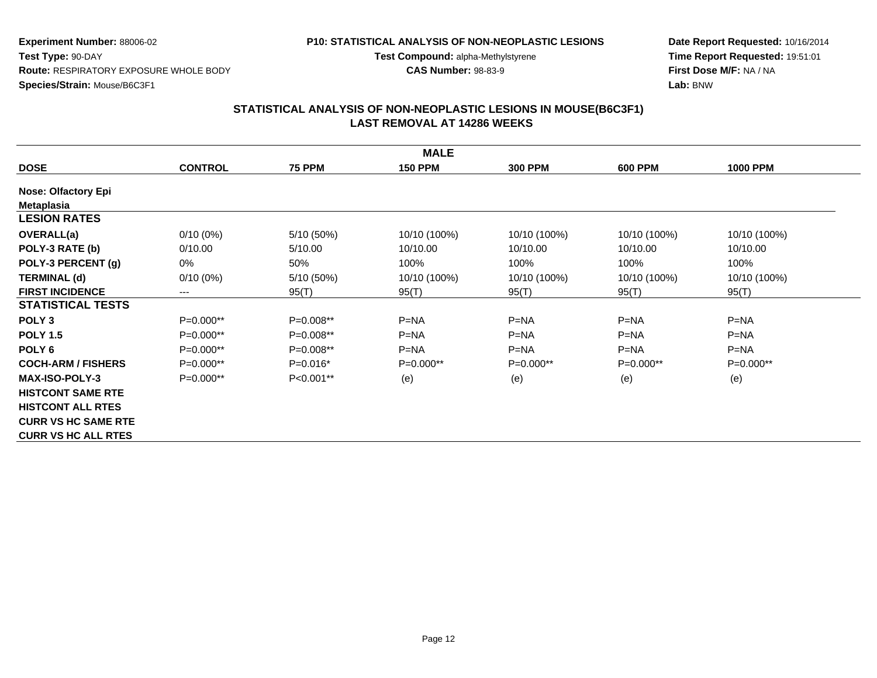# **P10: STATISTICAL ANALYSIS OF NON-NEOPLASTIC LESIONS**

**Test Compound:** alpha-Methylstyrene

**CAS Number:** 98-83-9

**Date Report Requested:** 10/16/2014**Time Report Requested:** 19:51:01**First Dose M/F:** NA / NA**Lab:** BNW

#### **STATISTICAL ANALYSIS OF NON-NEOPLASTIC LESIONS IN MOUSE(B6C3F1) LAST REMOVAL AT 14286 WEEKS**

|                            |                |               | <b>MALE</b>    |                |                |                 |
|----------------------------|----------------|---------------|----------------|----------------|----------------|-----------------|
| <b>DOSE</b>                | <b>CONTROL</b> | <b>75 PPM</b> | <b>150 PPM</b> | <b>300 PPM</b> | <b>600 PPM</b> | <b>1000 PPM</b> |
| <b>Nose: Olfactory Epi</b> |                |               |                |                |                |                 |
| <b>Metaplasia</b>          |                |               |                |                |                |                 |
| <b>LESION RATES</b>        |                |               |                |                |                |                 |
| <b>OVERALL(a)</b>          | $0/10(0\%)$    | 5/10 (50%)    | 10/10 (100%)   | 10/10 (100%)   | 10/10 (100%)   | 10/10 (100%)    |
| POLY-3 RATE (b)            | 0/10.00        | 5/10.00       | 10/10.00       | 10/10.00       | 10/10.00       | 10/10.00        |
| POLY-3 PERCENT (g)         | 0%             | 50%           | 100%           | 100%           | 100%           | 100%            |
| <b>TERMINAL (d)</b>        | $0/10(0\%)$    | 5/10 (50%)    | 10/10 (100%)   | 10/10 (100%)   | 10/10 (100%)   | 10/10 (100%)    |
| <b>FIRST INCIDENCE</b>     | ---            | 95(T)         | 95(T)          | 95(T)          | 95(T)          | 95(T)           |
| <b>STATISTICAL TESTS</b>   |                |               |                |                |                |                 |
| POLY <sub>3</sub>          | $P=0.000**$    | P=0.008**     | $P=NA$         | $P=NA$         | $P=NA$         | $P=NA$          |
| <b>POLY 1.5</b>            | P=0.000**      | P=0.008**     | $P=NA$         | $P=NA$         | $P=NA$         | $P=NA$          |
| POLY <sub>6</sub>          | $P=0.000**$    | P=0.008**     | $P = NA$       | $P=NA$         | $P=NA$         | $P = NA$        |
| <b>COCH-ARM / FISHERS</b>  | $P=0.000**$    | $P=0.016*$    | $P=0.000**$    | $P=0.000**$    | $P=0.000**$    | $P=0.000**$     |
| <b>MAX-ISO-POLY-3</b>      | $P=0.000**$    | $P<0.001**$   | (e)            | (e)            | (e)            | (e)             |
| <b>HISTCONT SAME RTE</b>   |                |               |                |                |                |                 |
| <b>HISTCONT ALL RTES</b>   |                |               |                |                |                |                 |
| <b>CURR VS HC SAME RTE</b> |                |               |                |                |                |                 |
| <b>CURR VS HC ALL RTES</b> |                |               |                |                |                |                 |

Page 12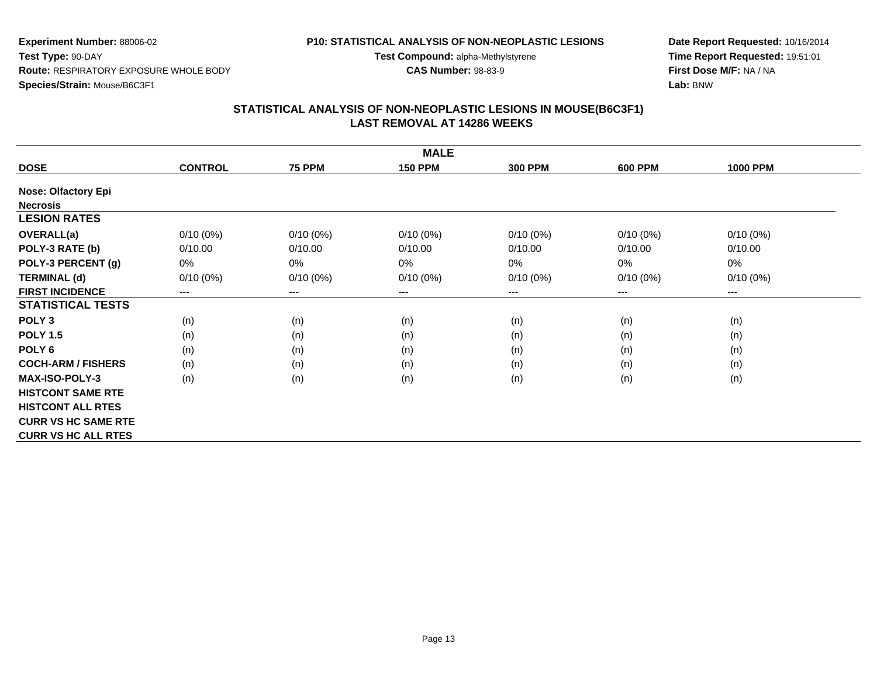# **P10: STATISTICAL ANALYSIS OF NON-NEOPLASTIC LESIONS**

**Test Compound:** alpha-Methylstyrene

**CAS Number:** 98-83-9

**Date Report Requested:** 10/16/2014**Time Report Requested:** 19:51:01**First Dose M/F:** NA / NA**Lab:** BNW

| <b>MALE</b>                |                |               |                |                |                |                 |  |  |  |
|----------------------------|----------------|---------------|----------------|----------------|----------------|-----------------|--|--|--|
| <b>DOSE</b>                | <b>CONTROL</b> | <b>75 PPM</b> | <b>150 PPM</b> | <b>300 PPM</b> | <b>600 PPM</b> | <b>1000 PPM</b> |  |  |  |
| <b>Nose: Olfactory Epi</b> |                |               |                |                |                |                 |  |  |  |
| <b>Necrosis</b>            |                |               |                |                |                |                 |  |  |  |
| <b>LESION RATES</b>        |                |               |                |                |                |                 |  |  |  |
| <b>OVERALL(a)</b>          | $0/10(0\%)$    | $0/10(0\%)$   | $0/10(0\%)$    | $0/10(0\%)$    | $0/10(0\%)$    | $0/10(0\%)$     |  |  |  |
| POLY-3 RATE (b)            | 0/10.00        | 0/10.00       | 0/10.00        | 0/10.00        | 0/10.00        | 0/10.00         |  |  |  |
| POLY-3 PERCENT (g)         | 0%             | 0%            | 0%             | 0%             | $0\%$          | 0%              |  |  |  |
| <b>TERMINAL (d)</b>        | $0/10(0\%)$    | $0/10(0\%)$   | $0/10(0\%)$    | $0/10(0\%)$    | $0/10(0\%)$    | $0/10(0\%)$     |  |  |  |
| <b>FIRST INCIDENCE</b>     | ---            | ---           | $--$           | ---            | ---            | $--$            |  |  |  |
| <b>STATISTICAL TESTS</b>   |                |               |                |                |                |                 |  |  |  |
| POLY <sub>3</sub>          | (n)            | (n)           | (n)            | (n)            | (n)            | (n)             |  |  |  |
| <b>POLY 1.5</b>            | (n)            | (n)           | (n)            | (n)            | (n)            | (n)             |  |  |  |
| POLY <sub>6</sub>          | (n)            | (n)           | (n)            | (n)            | (n)            | (n)             |  |  |  |
| <b>COCH-ARM / FISHERS</b>  | (n)            | (n)           | (n)            | (n)            | (n)            | (n)             |  |  |  |
| <b>MAX-ISO-POLY-3</b>      | (n)            | (n)           | (n)            | (n)            | (n)            | (n)             |  |  |  |
| <b>HISTCONT SAME RTE</b>   |                |               |                |                |                |                 |  |  |  |
| <b>HISTCONT ALL RTES</b>   |                |               |                |                |                |                 |  |  |  |
| <b>CURR VS HC SAME RTE</b> |                |               |                |                |                |                 |  |  |  |
| <b>CURR VS HC ALL RTES</b> |                |               |                |                |                |                 |  |  |  |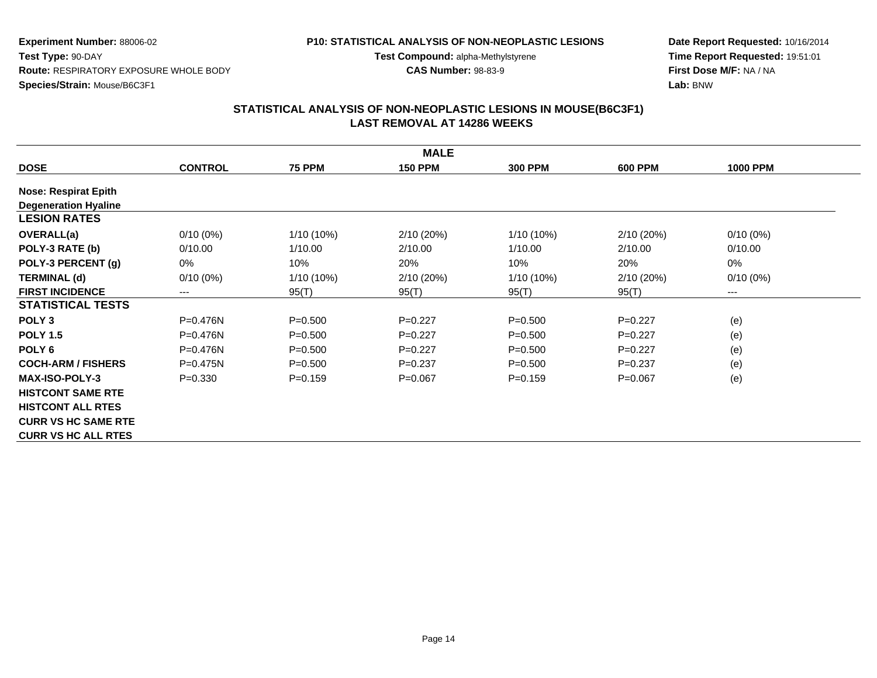# **P10: STATISTICAL ANALYSIS OF NON-NEOPLASTIC LESIONS**

**Test Compound:** alpha-Methylstyrene

**CAS Number:** 98-83-9

**Date Report Requested:** 10/16/2014**Time Report Requested:** 19:51:01**First Dose M/F:** NA / NA**Lab:** BNW

|                             | <b>MALE</b>    |               |                |                |                |                 |  |  |  |  |
|-----------------------------|----------------|---------------|----------------|----------------|----------------|-----------------|--|--|--|--|
| <b>DOSE</b>                 | <b>CONTROL</b> | <b>75 PPM</b> | <b>150 PPM</b> | <b>300 PPM</b> | <b>600 PPM</b> | <b>1000 PPM</b> |  |  |  |  |
| <b>Nose: Respirat Epith</b> |                |               |                |                |                |                 |  |  |  |  |
| <b>Degeneration Hyaline</b> |                |               |                |                |                |                 |  |  |  |  |
| <b>LESION RATES</b>         |                |               |                |                |                |                 |  |  |  |  |
| OVERALL(a)                  | $0/10(0\%)$    | 1/10 (10%)    | 2/10(20%)      | 1/10 (10%)     | 2/10(20%)      | $0/10(0\%)$     |  |  |  |  |
| POLY-3 RATE (b)             | 0/10.00        | 1/10.00       | 2/10.00        | 1/10.00        | 2/10.00        | 0/10.00         |  |  |  |  |
| POLY-3 PERCENT (g)          | 0%             | 10%           | 20%            | 10%            | 20%            | 0%              |  |  |  |  |
| <b>TERMINAL (d)</b>         | $0/10(0\%)$    | $1/10(10\%)$  | 2/10 (20%)     | 1/10 (10%)     | 2/10(20%)      | $0/10(0\%)$     |  |  |  |  |
| <b>FIRST INCIDENCE</b>      | $---$          | 95(T)         | 95(T)          | 95(T)          | 95(T)          | $---$           |  |  |  |  |
| <b>STATISTICAL TESTS</b>    |                |               |                |                |                |                 |  |  |  |  |
| POLY <sub>3</sub>           | $P = 0.476N$   | $P = 0.500$   | $P=0.227$      | $P = 0.500$    | $P=0.227$      | (e)             |  |  |  |  |
| <b>POLY 1.5</b>             | $P = 0.476N$   | $P=0.500$     | $P=0.227$      | $P = 0.500$    | $P=0.227$      | (e)             |  |  |  |  |
| POLY 6                      | P=0.476N       | $P = 0.500$   | $P=0.227$      | $P = 0.500$    | $P=0.227$      | (e)             |  |  |  |  |
| <b>COCH-ARM / FISHERS</b>   | $P = 0.475N$   | $P = 0.500$   | $P = 0.237$    | $P = 0.500$    | $P=0.237$      | (e)             |  |  |  |  |
| <b>MAX-ISO-POLY-3</b>       | $P = 0.330$    | $P=0.159$     | $P = 0.067$    | $P = 0.159$    | $P = 0.067$    | (e)             |  |  |  |  |
| <b>HISTCONT SAME RTE</b>    |                |               |                |                |                |                 |  |  |  |  |
| <b>HISTCONT ALL RTES</b>    |                |               |                |                |                |                 |  |  |  |  |
| <b>CURR VS HC SAME RTE</b>  |                |               |                |                |                |                 |  |  |  |  |
| <b>CURR VS HC ALL RTES</b>  |                |               |                |                |                |                 |  |  |  |  |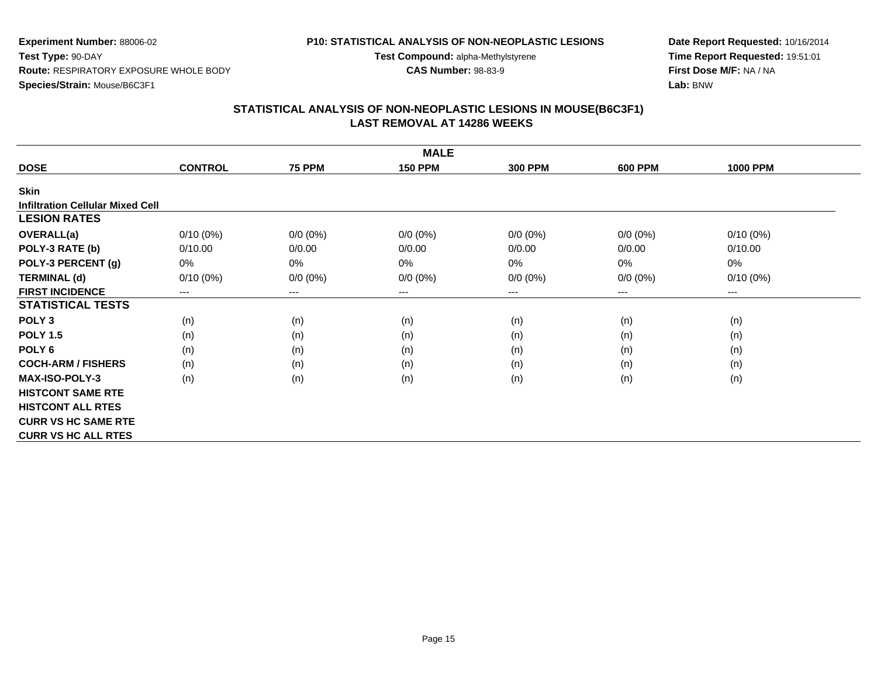# **P10: STATISTICAL ANALYSIS OF NON-NEOPLASTIC LESIONS**

**Test Compound:** alpha-Methylstyrene

**CAS Number:** 98-83-9

**Date Report Requested:** 10/16/2014**Time Report Requested:** 19:51:01**First Dose M/F:** NA / NA**Lab:** BNW

| <b>MALE</b>                             |                |               |                |                |                |                 |  |  |  |
|-----------------------------------------|----------------|---------------|----------------|----------------|----------------|-----------------|--|--|--|
| <b>DOSE</b>                             | <b>CONTROL</b> | <b>75 PPM</b> | <b>150 PPM</b> | <b>300 PPM</b> | <b>600 PPM</b> | <b>1000 PPM</b> |  |  |  |
| <b>Skin</b>                             |                |               |                |                |                |                 |  |  |  |
| <b>Infiltration Cellular Mixed Cell</b> |                |               |                |                |                |                 |  |  |  |
| <b>LESION RATES</b>                     |                |               |                |                |                |                 |  |  |  |
| <b>OVERALL(a)</b>                       | $0/10(0\%)$    | $0/0 (0\%)$   | $0/0 (0\%)$    | $0/0 (0\%)$    | $0/0 (0\%)$    | $0/10(0\%)$     |  |  |  |
| POLY-3 RATE (b)                         | 0/10.00        | 0/0.00        | 0/0.00         | 0/0.00         | 0/0.00         | 0/10.00         |  |  |  |
| POLY-3 PERCENT (g)                      | 0%             | 0%            | 0%             | $0\%$          | $0\%$          | 0%              |  |  |  |
| <b>TERMINAL (d)</b>                     | $0/10(0\%)$    | $0/0 (0\%)$   | $0/0 (0\%)$    | $0/0 (0\%)$    | $0/0 (0\%)$    | $0/10(0\%)$     |  |  |  |
| <b>FIRST INCIDENCE</b>                  | $---$          | $---$         | ---            | ---            | ---            | $---$           |  |  |  |
| <b>STATISTICAL TESTS</b>                |                |               |                |                |                |                 |  |  |  |
| POLY <sub>3</sub>                       | (n)            | (n)           | (n)            | (n)            | (n)            | (n)             |  |  |  |
| <b>POLY 1.5</b>                         | (n)            | (n)           | (n)            | (n)            | (n)            | (n)             |  |  |  |
| POLY <sub>6</sub>                       | (n)            | (n)           | (n)            | (n)            | (n)            | (n)             |  |  |  |
| <b>COCH-ARM / FISHERS</b>               | (n)            | (n)           | (n)            | (n)            | (n)            | (n)             |  |  |  |
| <b>MAX-ISO-POLY-3</b>                   | (n)            | (n)           | (n)            | (n)            | (n)            | (n)             |  |  |  |
| <b>HISTCONT SAME RTE</b>                |                |               |                |                |                |                 |  |  |  |
| <b>HISTCONT ALL RTES</b>                |                |               |                |                |                |                 |  |  |  |
| <b>CURR VS HC SAME RTE</b>              |                |               |                |                |                |                 |  |  |  |
| <b>CURR VS HC ALL RTES</b>              |                |               |                |                |                |                 |  |  |  |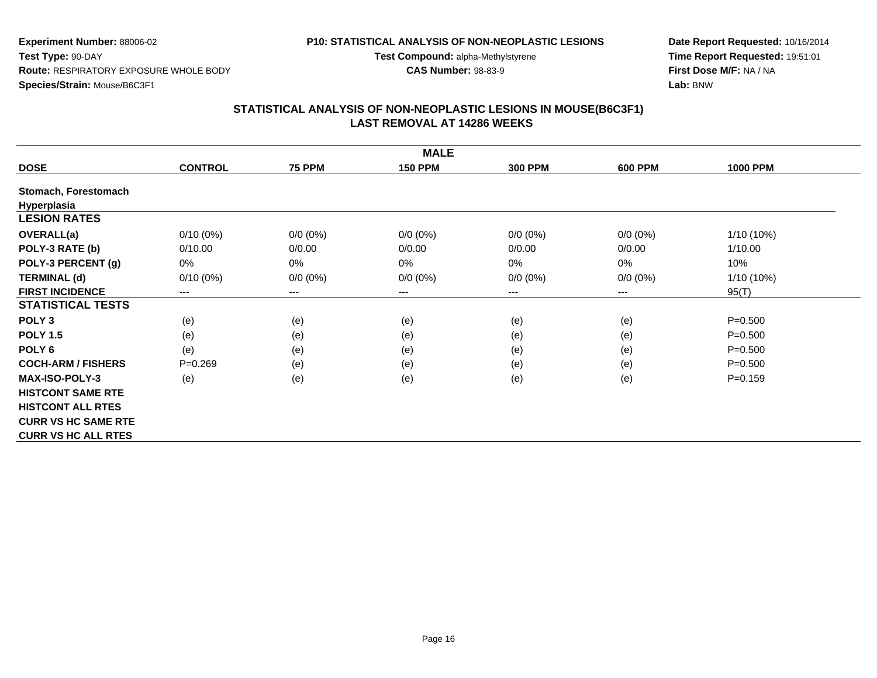# **P10: STATISTICAL ANALYSIS OF NON-NEOPLASTIC LESIONS**

**Test Compound:** alpha-Methylstyrene

**CAS Number:** 98-83-9

**Date Report Requested:** 10/16/2014**Time Report Requested:** 19:51:01**First Dose M/F:** NA / NA**Lab:** BNW

| <b>MALE</b>                |                |               |                |                |                |                 |  |  |  |
|----------------------------|----------------|---------------|----------------|----------------|----------------|-----------------|--|--|--|
| <b>DOSE</b>                | <b>CONTROL</b> | <b>75 PPM</b> | <b>150 PPM</b> | <b>300 PPM</b> | <b>600 PPM</b> | <b>1000 PPM</b> |  |  |  |
| Stomach, Forestomach       |                |               |                |                |                |                 |  |  |  |
| Hyperplasia                |                |               |                |                |                |                 |  |  |  |
| <b>LESION RATES</b>        |                |               |                |                |                |                 |  |  |  |
| <b>OVERALL(a)</b>          | $0/10(0\%)$    | $0/0 (0\%)$   | $0/0 (0\%)$    | $0/0 (0\%)$    | $0/0 (0\%)$    | 1/10 (10%)      |  |  |  |
| POLY-3 RATE (b)            | 0/10.00        | 0/0.00        | 0/0.00         | 0/0.00         | 0/0.00         | 1/10.00         |  |  |  |
| POLY-3 PERCENT (g)         | 0%             | 0%            | $0\%$          | 0%             | 0%             | 10%             |  |  |  |
| <b>TERMINAL (d)</b>        | $0/10(0\%)$    | $0/0 (0\%)$   | $0/0 (0\%)$    | $0/0 (0\%)$    | $0/0 (0\%)$    | 1/10 (10%)      |  |  |  |
| <b>FIRST INCIDENCE</b>     | $--$           | $--$          | ---            | ---            | ---            | 95(T)           |  |  |  |
| <b>STATISTICAL TESTS</b>   |                |               |                |                |                |                 |  |  |  |
| POLY <sub>3</sub>          | (e)            | (e)           | (e)            | (e)            | (e)            | $P = 0.500$     |  |  |  |
| <b>POLY 1.5</b>            | (e)            | (e)           | (e)            | (e)            | (e)            | $P = 0.500$     |  |  |  |
| POLY <sub>6</sub>          | (e)            | (e)           | (e)            | (e)            | (e)            | $P = 0.500$     |  |  |  |
| <b>COCH-ARM / FISHERS</b>  | $P = 0.269$    | (e)           | (e)            | (e)            | (e)            | $P = 0.500$     |  |  |  |
| <b>MAX-ISO-POLY-3</b>      | (e)            | (e)           | (e)            | (e)            | (e)            | $P = 0.159$     |  |  |  |
| <b>HISTCONT SAME RTE</b>   |                |               |                |                |                |                 |  |  |  |
| <b>HISTCONT ALL RTES</b>   |                |               |                |                |                |                 |  |  |  |
| <b>CURR VS HC SAME RTE</b> |                |               |                |                |                |                 |  |  |  |
| <b>CURR VS HC ALL RTES</b> |                |               |                |                |                |                 |  |  |  |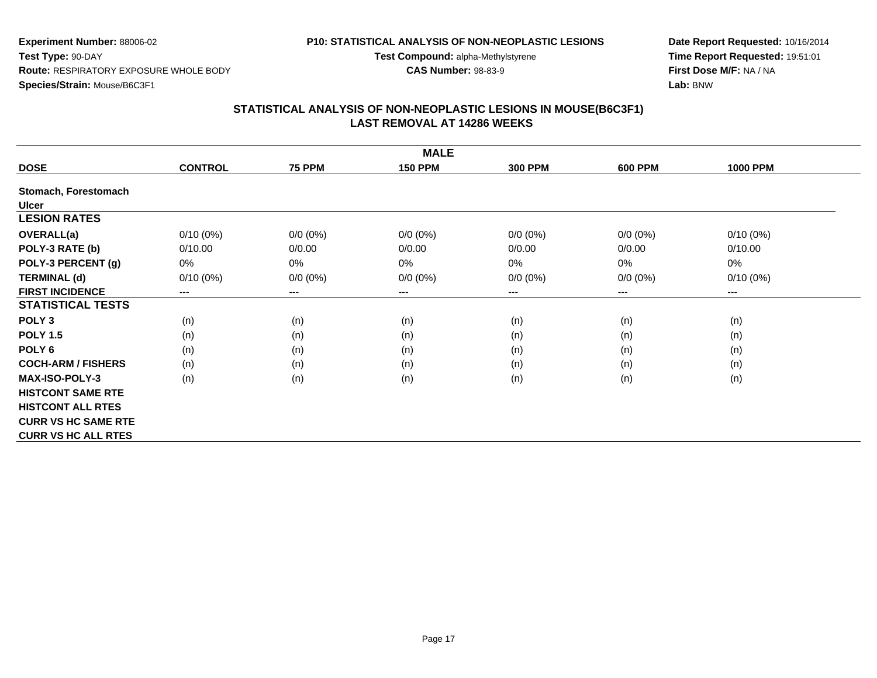# **P10: STATISTICAL ANALYSIS OF NON-NEOPLASTIC LESIONS**

**Test Compound:** alpha-Methylstyrene

**CAS Number:** 98-83-9

**Date Report Requested:** 10/16/2014**Time Report Requested:** 19:51:01**First Dose M/F:** NA / NA**Lab:** BNW

|                            | <b>MALE</b>    |               |                |                |                |                 |  |  |  |  |
|----------------------------|----------------|---------------|----------------|----------------|----------------|-----------------|--|--|--|--|
| <b>DOSE</b>                | <b>CONTROL</b> | <b>75 PPM</b> | <b>150 PPM</b> | <b>300 PPM</b> | <b>600 PPM</b> | <b>1000 PPM</b> |  |  |  |  |
| Stomach, Forestomach       |                |               |                |                |                |                 |  |  |  |  |
| <b>Ulcer</b>               |                |               |                |                |                |                 |  |  |  |  |
| <b>LESION RATES</b>        |                |               |                |                |                |                 |  |  |  |  |
| <b>OVERALL(a)</b>          | $0/10(0\%)$    | $0/0 (0\%)$   | $0/0 (0\%)$    | $0/0 (0\%)$    | $0/0 (0\%)$    | $0/10(0\%)$     |  |  |  |  |
| POLY-3 RATE (b)            | 0/10.00        | 0/0.00        | 0/0.00         | 0/0.00         | 0/0.00         | 0/10.00         |  |  |  |  |
| POLY-3 PERCENT (g)         | 0%             | $0\%$         | $0\%$          | 0%             | $0\%$          | 0%              |  |  |  |  |
| <b>TERMINAL (d)</b>        | $0/10(0\%)$    | $0/0 (0\%)$   | $0/0 (0\%)$    | $0/0 (0\%)$    | $0/0 (0\%)$    | $0/10(0\%)$     |  |  |  |  |
| <b>FIRST INCIDENCE</b>     | $---$          | $---$         | ---            | $---$          | ---            | $---$           |  |  |  |  |
| <b>STATISTICAL TESTS</b>   |                |               |                |                |                |                 |  |  |  |  |
| POLY <sub>3</sub>          | (n)            | (n)           | (n)            | (n)            | (n)            | (n)             |  |  |  |  |
| <b>POLY 1.5</b>            | (n)            | (n)           | (n)            | (n)            | (n)            | (n)             |  |  |  |  |
| POLY <sub>6</sub>          | (n)            | (n)           | (n)            | (n)            | (n)            | (n)             |  |  |  |  |
| <b>COCH-ARM / FISHERS</b>  | (n)            | (n)           | (n)            | (n)            | (n)            | (n)             |  |  |  |  |
| <b>MAX-ISO-POLY-3</b>      | (n)            | (n)           | (n)            | (n)            | (n)            | (n)             |  |  |  |  |
| <b>HISTCONT SAME RTE</b>   |                |               |                |                |                |                 |  |  |  |  |
| <b>HISTCONT ALL RTES</b>   |                |               |                |                |                |                 |  |  |  |  |
| <b>CURR VS HC SAME RTE</b> |                |               |                |                |                |                 |  |  |  |  |
| <b>CURR VS HC ALL RTES</b> |                |               |                |                |                |                 |  |  |  |  |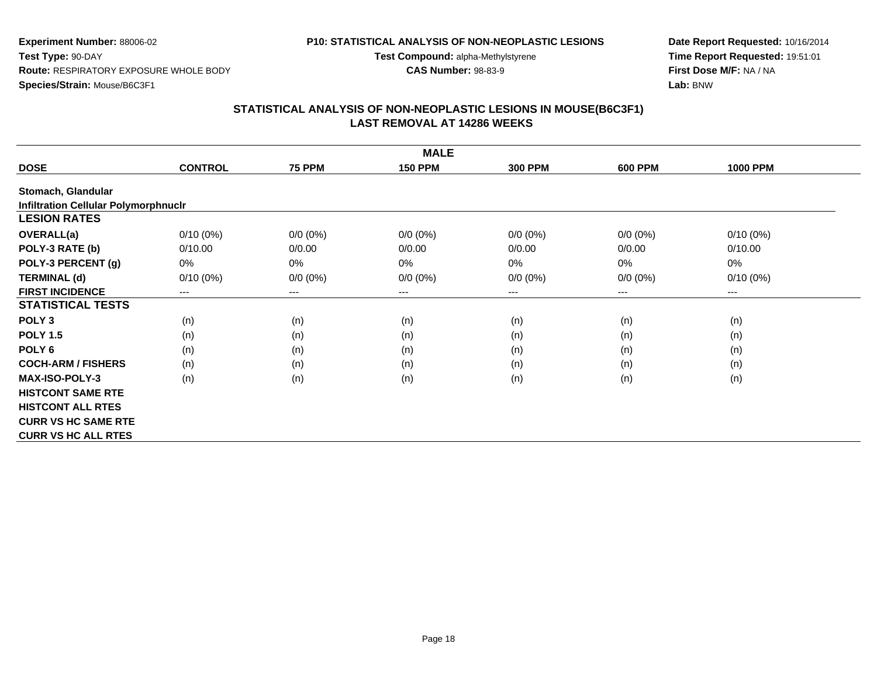# **Experiment Number:** 88006-02**Test Type:** 90-DAY**Route:** RESPIRATORY EXPOSURE WHOLE BODY

**Species/Strain:** Mouse/B6C3F1

# **P10: STATISTICAL ANALYSIS OF NON-NEOPLASTIC LESIONS**

**Test Compound:** alpha-Methylstyrene

**CAS Number:** 98-83-9

**Date Report Requested:** 10/16/2014**Time Report Requested:** 19:51:01**First Dose M/F:** NA / NA**Lab:** BNW

| <b>MALE</b>                                 |                |                        |                |                |                |                 |  |  |  |  |
|---------------------------------------------|----------------|------------------------|----------------|----------------|----------------|-----------------|--|--|--|--|
| <b>DOSE</b>                                 | <b>CONTROL</b> | <b>75 PPM</b>          | <b>150 PPM</b> | <b>300 PPM</b> | <b>600 PPM</b> | <b>1000 PPM</b> |  |  |  |  |
| Stomach, Glandular                          |                |                        |                |                |                |                 |  |  |  |  |
| <b>Infiltration Cellular Polymorphnuclr</b> |                |                        |                |                |                |                 |  |  |  |  |
| <b>LESION RATES</b>                         |                |                        |                |                |                |                 |  |  |  |  |
| <b>OVERALL(a)</b>                           | $0/10(0\%)$    | $0/0 (0\%)$            | $0/0 (0\%)$    | $0/0 (0\%)$    | $0/0 (0\%)$    | $0/10(0\%)$     |  |  |  |  |
| POLY-3 RATE (b)                             | 0/10.00        | 0/0.00                 | 0/0.00         | 0/0.00         | 0/0.00         | 0/10.00         |  |  |  |  |
| POLY-3 PERCENT (g)                          | 0%             | 0%                     | 0%             | 0%             | 0%             | 0%              |  |  |  |  |
| <b>TERMINAL (d)</b>                         | $0/10(0\%)$    | $0/0 (0\%)$            | $0/0 (0\%)$    | $0/0 (0\%)$    | $0/0 (0\%)$    | $0/10(0\%)$     |  |  |  |  |
| <b>FIRST INCIDENCE</b>                      | ---            | $\qquad \qquad \cdots$ | ---            | ---            | $---$          | ---             |  |  |  |  |
| <b>STATISTICAL TESTS</b>                    |                |                        |                |                |                |                 |  |  |  |  |
| POLY <sub>3</sub>                           | (n)            | (n)                    | (n)            | (n)            | (n)            | (n)             |  |  |  |  |
| <b>POLY 1.5</b>                             | (n)            | (n)                    | (n)            | (n)            | (n)            | (n)             |  |  |  |  |
| POLY <sub>6</sub>                           | (n)            | (n)                    | (n)            | (n)            | (n)            | (n)             |  |  |  |  |
| <b>COCH-ARM / FISHERS</b>                   | (n)            | (n)                    | (n)            | (n)            | (n)            | (n)             |  |  |  |  |
| <b>MAX-ISO-POLY-3</b>                       | (n)            | (n)                    | (n)            | (n)            | (n)            | (n)             |  |  |  |  |
| <b>HISTCONT SAME RTE</b>                    |                |                        |                |                |                |                 |  |  |  |  |
| <b>HISTCONT ALL RTES</b>                    |                |                        |                |                |                |                 |  |  |  |  |
| <b>CURR VS HC SAME RTE</b>                  |                |                        |                |                |                |                 |  |  |  |  |
| <b>CURR VS HC ALL RTES</b>                  |                |                        |                |                |                |                 |  |  |  |  |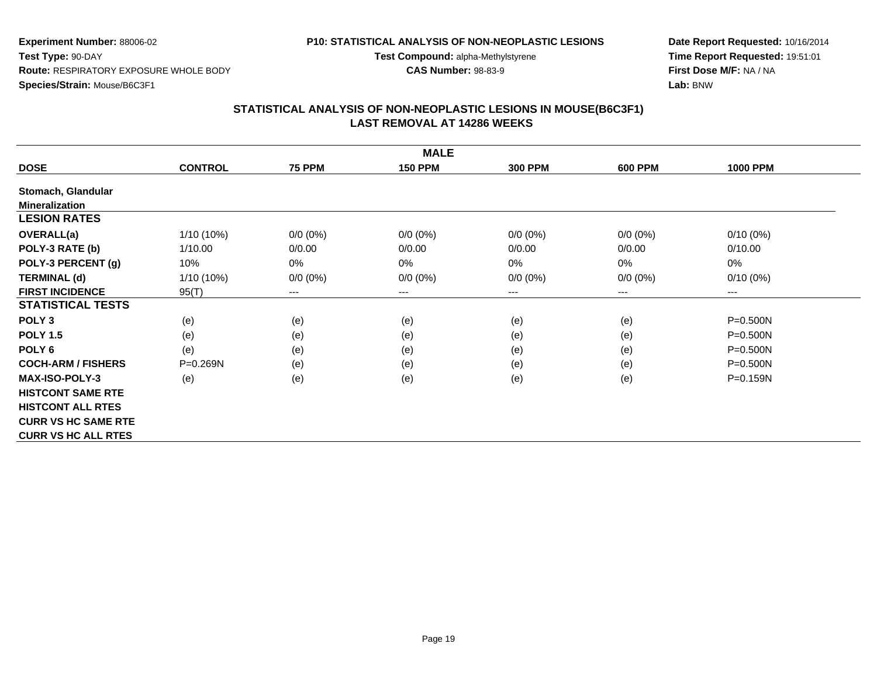# **P10: STATISTICAL ANALYSIS OF NON-NEOPLASTIC LESIONS**

**Test Compound:** alpha-Methylstyrene

**CAS Number:** 98-83-9

**Date Report Requested:** 10/16/2014**Time Report Requested:** 19:51:01**First Dose M/F:** NA / NA**Lab:** BNW

| <b>MALE</b>                |                |               |                        |                |                |                        |  |  |  |
|----------------------------|----------------|---------------|------------------------|----------------|----------------|------------------------|--|--|--|
| <b>DOSE</b>                | <b>CONTROL</b> | <b>75 PPM</b> | <b>150 PPM</b>         | <b>300 PPM</b> | <b>600 PPM</b> | <b>1000 PPM</b>        |  |  |  |
| Stomach, Glandular         |                |               |                        |                |                |                        |  |  |  |
| <b>Mineralization</b>      |                |               |                        |                |                |                        |  |  |  |
| <b>LESION RATES</b>        |                |               |                        |                |                |                        |  |  |  |
| OVERALL(a)                 | 1/10 (10%)     | $0/0 (0\%)$   | $0/0 (0\%)$            | $0/0 (0\%)$    | $0/0(0\%)$     | $0/10(0\%)$            |  |  |  |
| POLY-3 RATE (b)            | 1/10.00        | 0/0.00        | 0/0.00                 | 0/0.00         | 0/0.00         | 0/10.00                |  |  |  |
| POLY-3 PERCENT (g)         | 10%            | $0\%$         | $0\%$                  | 0%             | 0%             | 0%                     |  |  |  |
| <b>TERMINAL (d)</b>        | $1/10(10\%)$   | $0/0 (0\%)$   | $0/0 (0\%)$            | $0/0 (0\%)$    | $0/0 (0\%)$    | $0/10(0\%)$            |  |  |  |
| <b>FIRST INCIDENCE</b>     | 95(T)          | $---$         | $\qquad \qquad \cdots$ | ---            | ---            | $\qquad \qquad \cdots$ |  |  |  |
| <b>STATISTICAL TESTS</b>   |                |               |                        |                |                |                        |  |  |  |
| POLY <sub>3</sub>          | (e)            | (e)           | (e)                    | (e)            | (e)            | $P = 0.500N$           |  |  |  |
| <b>POLY 1.5</b>            | (e)            | (e)           | (e)                    | (e)            | (e)            | $P = 0.500N$           |  |  |  |
| POLY 6                     | (e)            | (e)           | (e)                    | (e)            | (e)            | $P = 0.500N$           |  |  |  |
| <b>COCH-ARM / FISHERS</b>  | $P = 0.269N$   | (e)           | (e)                    | (e)            | (e)            | $P = 0.500N$           |  |  |  |
| <b>MAX-ISO-POLY-3</b>      | (e)            | (e)           | (e)                    | (e)            | (e)            | P=0.159N               |  |  |  |
| <b>HISTCONT SAME RTE</b>   |                |               |                        |                |                |                        |  |  |  |
| <b>HISTCONT ALL RTES</b>   |                |               |                        |                |                |                        |  |  |  |
| <b>CURR VS HC SAME RTE</b> |                |               |                        |                |                |                        |  |  |  |
| <b>CURR VS HC ALL RTES</b> |                |               |                        |                |                |                        |  |  |  |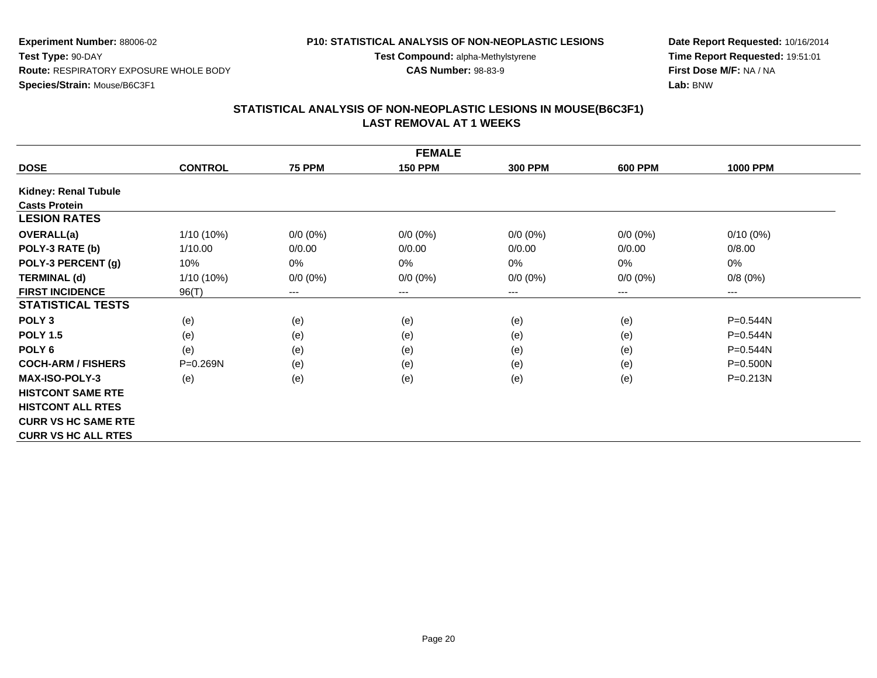# **P10: STATISTICAL ANALYSIS OF NON-NEOPLASTIC LESIONS**

**Test Compound:** alpha-Methylstyrene

**CAS Number:** 98-83-9

**Date Report Requested:** 10/16/2014**Time Report Requested:** 19:51:01**First Dose M/F:** NA / NA**Lab:** BNW

| <b>FEMALE</b>               |                |               |                |                |                            |                        |  |  |  |  |
|-----------------------------|----------------|---------------|----------------|----------------|----------------------------|------------------------|--|--|--|--|
| <b>DOSE</b>                 | <b>CONTROL</b> | <b>75 PPM</b> | <b>150 PPM</b> | <b>300 PPM</b> | <b>600 PPM</b>             | <b>1000 PPM</b>        |  |  |  |  |
| <b>Kidney: Renal Tubule</b> |                |               |                |                |                            |                        |  |  |  |  |
| <b>Casts Protein</b>        |                |               |                |                |                            |                        |  |  |  |  |
| <b>LESION RATES</b>         |                |               |                |                |                            |                        |  |  |  |  |
| <b>OVERALL(a)</b>           | 1/10 (10%)     | $0/0 (0\%)$   | $0/0 (0\%)$    | $0/0 (0\%)$    | $0/0 (0\%)$                | $0/10(0\%)$            |  |  |  |  |
| POLY-3 RATE (b)             | 1/10.00        | 0/0.00        | 0/0.00         | 0/0.00         | 0/0.00                     | 0/8.00                 |  |  |  |  |
| POLY-3 PERCENT (g)          | 10%            | 0%            | 0%             | 0%             | 0%                         | 0%                     |  |  |  |  |
| <b>TERMINAL (d)</b>         | 1/10 (10%)     | $0/0 (0\%)$   | $0/0 (0\%)$    | $0/0 (0\%)$    | $0/0 (0\%)$                | 0/8(0%)                |  |  |  |  |
| <b>FIRST INCIDENCE</b>      | 96(T)          | ---           | $---$          | ---            | $\qquad \qquad - \qquad -$ | $\qquad \qquad \cdots$ |  |  |  |  |
| <b>STATISTICAL TESTS</b>    |                |               |                |                |                            |                        |  |  |  |  |
| POLY <sub>3</sub>           | (e)            | (e)           | (e)            | (e)            | (e)                        | P=0.544N               |  |  |  |  |
| <b>POLY 1.5</b>             | (e)            | (e)           | (e)            | (e)            | (e)                        | P=0.544N               |  |  |  |  |
| POLY 6                      | (e)            | (e)           | (e)            | (e)            | (e)                        | P=0.544N               |  |  |  |  |
| <b>COCH-ARM / FISHERS</b>   | $P = 0.269N$   | (e)           | (e)            | (e)            | (e)                        | $P = 0.500N$           |  |  |  |  |
| <b>MAX-ISO-POLY-3</b>       | (e)            | (e)           | (e)            | (e)            | (e)                        | P=0.213N               |  |  |  |  |
| <b>HISTCONT SAME RTE</b>    |                |               |                |                |                            |                        |  |  |  |  |
| <b>HISTCONT ALL RTES</b>    |                |               |                |                |                            |                        |  |  |  |  |
| <b>CURR VS HC SAME RTE</b>  |                |               |                |                |                            |                        |  |  |  |  |
| <b>CURR VS HC ALL RTES</b>  |                |               |                |                |                            |                        |  |  |  |  |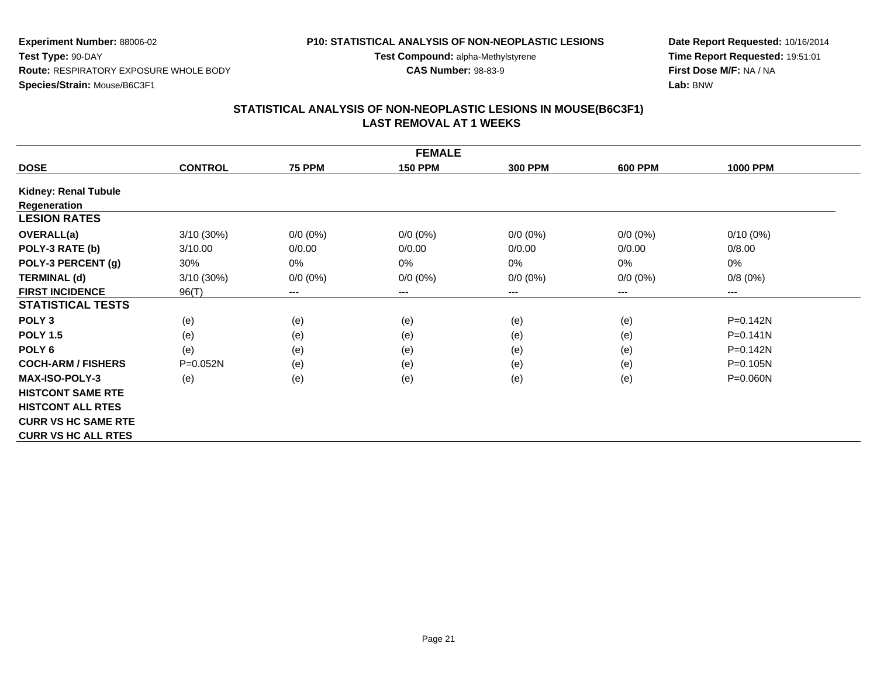# **P10: STATISTICAL ANALYSIS OF NON-NEOPLASTIC LESIONS**

**Test Compound:** alpha-Methylstyrene

**CAS Number:** 98-83-9

**Date Report Requested:** 10/16/2014**Time Report Requested:** 19:51:01**First Dose M/F:** NA / NA**Lab:** BNW

| <b>FEMALE</b>               |                |                            |                |                |             |                        |  |  |  |  |
|-----------------------------|----------------|----------------------------|----------------|----------------|-------------|------------------------|--|--|--|--|
| <b>DOSE</b>                 | <b>CONTROL</b> | <b>75 PPM</b>              | <b>150 PPM</b> | <b>300 PPM</b> | 600 PPM     | <b>1000 PPM</b>        |  |  |  |  |
| <b>Kidney: Renal Tubule</b> |                |                            |                |                |             |                        |  |  |  |  |
| Regeneration                |                |                            |                |                |             |                        |  |  |  |  |
| <b>LESION RATES</b>         |                |                            |                |                |             |                        |  |  |  |  |
| <b>OVERALL(a)</b>           | 3/10(30%)      | $0/0 (0\%)$                | $0/0 (0\%)$    | $0/0 (0\%)$    | $0/0 (0\%)$ | $0/10(0\%)$            |  |  |  |  |
| POLY-3 RATE (b)             | 3/10.00        | 0/0.00                     | 0/0.00         | 0/0.00         | 0/0.00      | 0/8.00                 |  |  |  |  |
| POLY-3 PERCENT (g)          | 30%            | 0%                         | 0%             | 0%             | 0%          | 0%                     |  |  |  |  |
| <b>TERMINAL (d)</b>         | 3/10 (30%)     | $0/0 (0\%)$                | $0/0 (0\%)$    | $0/0 (0\%)$    | $0/0 (0\%)$ | 0/8(0%)                |  |  |  |  |
| <b>FIRST INCIDENCE</b>      | 96(T)          | $\qquad \qquad - \qquad -$ | ---            | ---            | $---$       | $\qquad \qquad \cdots$ |  |  |  |  |
| <b>STATISTICAL TESTS</b>    |                |                            |                |                |             |                        |  |  |  |  |
| POLY <sub>3</sub>           | (e)            | (e)                        | (e)            | (e)            | (e)         | P=0.142N               |  |  |  |  |
| <b>POLY 1.5</b>             | (e)            | (e)                        | (e)            | (e)            | (e)         | $P = 0.141N$           |  |  |  |  |
| POLY <sub>6</sub>           | (e)            | (e)                        | (e)            | (e)            | (e)         | P=0.142N               |  |  |  |  |
| <b>COCH-ARM / FISHERS</b>   | P=0.052N       | (e)                        | (e)            | (e)            | (e)         | $P = 0.105N$           |  |  |  |  |
| <b>MAX-ISO-POLY-3</b>       | (e)            | (e)                        | (e)            | (e)            | (e)         | P=0.060N               |  |  |  |  |
| <b>HISTCONT SAME RTE</b>    |                |                            |                |                |             |                        |  |  |  |  |
| <b>HISTCONT ALL RTES</b>    |                |                            |                |                |             |                        |  |  |  |  |
| <b>CURR VS HC SAME RTE</b>  |                |                            |                |                |             |                        |  |  |  |  |
| <b>CURR VS HC ALL RTES</b>  |                |                            |                |                |             |                        |  |  |  |  |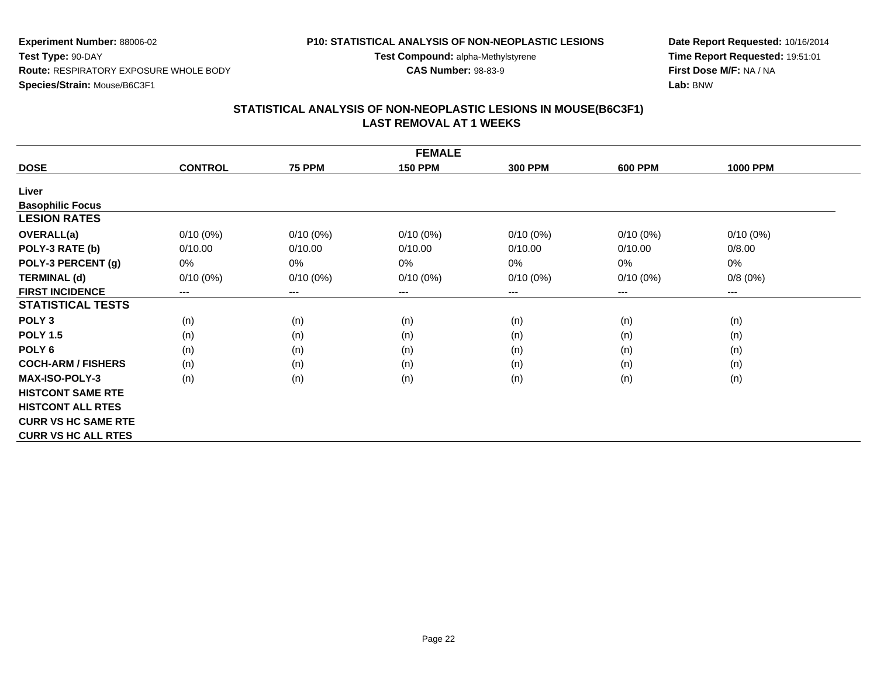# **P10: STATISTICAL ANALYSIS OF NON-NEOPLASTIC LESIONS**

**Test Compound:** alpha-Methylstyrene

**CAS Number:** 98-83-9

**Date Report Requested:** 10/16/2014**Time Report Requested:** 19:51:01**First Dose M/F:** NA / NA**Lab:** BNW

| <b>FEMALE</b>              |                |               |                |                |                        |                        |  |  |  |  |
|----------------------------|----------------|---------------|----------------|----------------|------------------------|------------------------|--|--|--|--|
| <b>DOSE</b>                | <b>CONTROL</b> | <b>75 PPM</b> | <b>150 PPM</b> | <b>300 PPM</b> | <b>600 PPM</b>         | <b>1000 PPM</b>        |  |  |  |  |
| Liver                      |                |               |                |                |                        |                        |  |  |  |  |
| <b>Basophilic Focus</b>    |                |               |                |                |                        |                        |  |  |  |  |
| <b>LESION RATES</b>        |                |               |                |                |                        |                        |  |  |  |  |
| <b>OVERALL(a)</b>          | $0/10(0\%)$    | $0/10(0\%)$   | $0/10(0\%)$    | $0/10(0\%)$    | $0/10(0\%)$            | $0/10(0\%)$            |  |  |  |  |
| POLY-3 RATE (b)            | 0/10.00        | 0/10.00       | 0/10.00        | 0/10.00        | 0/10.00                | 0/8.00                 |  |  |  |  |
| POLY-3 PERCENT (g)         | 0%             | 0%            | 0%             | 0%             | 0%                     | 0%                     |  |  |  |  |
| <b>TERMINAL (d)</b>        | $0/10(0\%)$    | $0/10(0\%)$   | $0/10(0\%)$    | $0/10(0\%)$    | $0/10(0\%)$            | 0/8(0%)                |  |  |  |  |
| <b>FIRST INCIDENCE</b>     | $---$          | ---           | $--$           | ---            | $\qquad \qquad \cdots$ | $\qquad \qquad \cdots$ |  |  |  |  |
| <b>STATISTICAL TESTS</b>   |                |               |                |                |                        |                        |  |  |  |  |
| POLY <sub>3</sub>          | (n)            | (n)           | (n)            | (n)            | (n)                    | (n)                    |  |  |  |  |
| <b>POLY 1.5</b>            | (n)            | (n)           | (n)            | (n)            | (n)                    | (n)                    |  |  |  |  |
| POLY 6                     | (n)            | (n)           | (n)            | (n)            | (n)                    | (n)                    |  |  |  |  |
| <b>COCH-ARM / FISHERS</b>  | (n)            | (n)           | (n)            | (n)            | (n)                    | (n)                    |  |  |  |  |
| <b>MAX-ISO-POLY-3</b>      | (n)            | (n)           | (n)            | (n)            | (n)                    | (n)                    |  |  |  |  |
| <b>HISTCONT SAME RTE</b>   |                |               |                |                |                        |                        |  |  |  |  |
| <b>HISTCONT ALL RTES</b>   |                |               |                |                |                        |                        |  |  |  |  |
| <b>CURR VS HC SAME RTE</b> |                |               |                |                |                        |                        |  |  |  |  |
| <b>CURR VS HC ALL RTES</b> |                |               |                |                |                        |                        |  |  |  |  |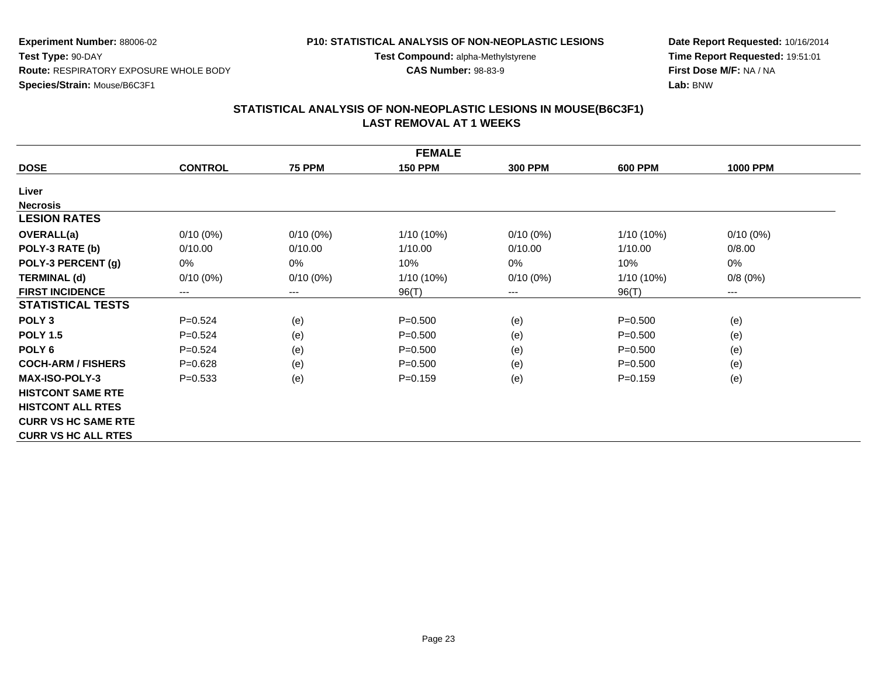# **P10: STATISTICAL ANALYSIS OF NON-NEOPLASTIC LESIONS**

**Test Compound:** alpha-Methylstyrene

**CAS Number:** 98-83-9

**Date Report Requested:** 10/16/2014**Time Report Requested:** 19:51:01**First Dose M/F:** NA / NA**Lab:** BNW

| <b>FEMALE</b>              |                |                            |                |                |                |                 |  |  |  |
|----------------------------|----------------|----------------------------|----------------|----------------|----------------|-----------------|--|--|--|
| <b>DOSE</b>                | <b>CONTROL</b> | <b>75 PPM</b>              | <b>150 PPM</b> | <b>300 PPM</b> | <b>600 PPM</b> | <b>1000 PPM</b> |  |  |  |
| Liver                      |                |                            |                |                |                |                 |  |  |  |
| <b>Necrosis</b>            |                |                            |                |                |                |                 |  |  |  |
| <b>LESION RATES</b>        |                |                            |                |                |                |                 |  |  |  |
| <b>OVERALL(a)</b>          | $0/10(0\%)$    | $0/10(0\%)$                | 1/10 (10%)     | $0/10(0\%)$    | $1/10(10\%)$   | $0/10(0\%)$     |  |  |  |
| POLY-3 RATE (b)            | 0/10.00        | 0/10.00                    | 1/10.00        | 0/10.00        | 1/10.00        | 0/8.00          |  |  |  |
| POLY-3 PERCENT (g)         | 0%             | 0%                         | 10%            | 0%             | 10%            | 0%              |  |  |  |
| <b>TERMINAL (d)</b>        | $0/10(0\%)$    | $0/10(0\%)$                | 1/10 (10%)     | $0/10(0\%)$    | $1/10(10\%)$   | 0/8(0%)         |  |  |  |
| <b>FIRST INCIDENCE</b>     | $---$          | $\qquad \qquad - \qquad -$ | 96(T)          | ---            | 96(T)          | $--$            |  |  |  |
| <b>STATISTICAL TESTS</b>   |                |                            |                |                |                |                 |  |  |  |
| POLY <sub>3</sub>          | $P=0.524$      | (e)                        | $P = 0.500$    | (e)            | $P = 0.500$    | (e)             |  |  |  |
| <b>POLY 1.5</b>            | $P=0.524$      | (e)                        | $P = 0.500$    | (e)            | $P = 0.500$    | (e)             |  |  |  |
| POLY 6                     | $P=0.524$      | (e)                        | $P = 0.500$    | (e)            | $P = 0.500$    | (e)             |  |  |  |
| <b>COCH-ARM / FISHERS</b>  | $P = 0.628$    | (e)                        | $P = 0.500$    | (e)            | $P = 0.500$    | (e)             |  |  |  |
| <b>MAX-ISO-POLY-3</b>      | $P = 0.533$    | (e)                        | $P=0.159$      | (e)            | $P=0.159$      | (e)             |  |  |  |
| <b>HISTCONT SAME RTE</b>   |                |                            |                |                |                |                 |  |  |  |
| <b>HISTCONT ALL RTES</b>   |                |                            |                |                |                |                 |  |  |  |
| <b>CURR VS HC SAME RTE</b> |                |                            |                |                |                |                 |  |  |  |
| <b>CURR VS HC ALL RTES</b> |                |                            |                |                |                |                 |  |  |  |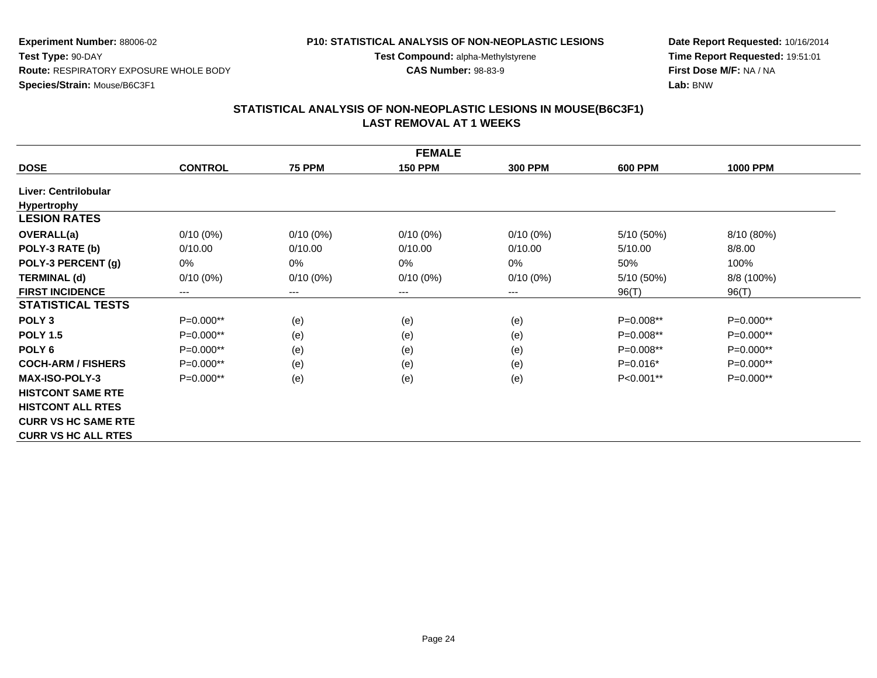# **P10: STATISTICAL ANALYSIS OF NON-NEOPLASTIC LESIONS**

**Test Compound:** alpha-Methylstyrene

**CAS Number:** 98-83-9

**Date Report Requested:** 10/16/2014**Time Report Requested:** 19:51:01**First Dose M/F:** NA / NA**Lab:** BNW

| <b>FEMALE</b>              |                |               |                |                |                |                 |  |  |  |
|----------------------------|----------------|---------------|----------------|----------------|----------------|-----------------|--|--|--|
| <b>DOSE</b>                | <b>CONTROL</b> | <b>75 PPM</b> | <b>150 PPM</b> | <b>300 PPM</b> | <b>600 PPM</b> | <b>1000 PPM</b> |  |  |  |
| Liver: Centrilobular       |                |               |                |                |                |                 |  |  |  |
| <b>Hypertrophy</b>         |                |               |                |                |                |                 |  |  |  |
| <b>LESION RATES</b>        |                |               |                |                |                |                 |  |  |  |
| <b>OVERALL(a)</b>          | $0/10(0\%)$    | $0/10(0\%)$   | $0/10(0\%)$    | $0/10(0\%)$    | 5/10 (50%)     | 8/10 (80%)      |  |  |  |
| POLY-3 RATE (b)            | 0/10.00        | 0/10.00       | 0/10.00        | 0/10.00        | 5/10.00        | 8/8.00          |  |  |  |
| POLY-3 PERCENT (g)         | 0%             | 0%            | 0%             | 0%             | 50%            | 100%            |  |  |  |
| <b>TERMINAL (d)</b>        | $0/10(0\%)$    | $0/10(0\%)$   | $0/10(0\%)$    | $0/10(0\%)$    | 5/10 (50%)     | 8/8 (100%)      |  |  |  |
| <b>FIRST INCIDENCE</b>     | ---            | ---           | $--$           | ---            | 96(T)          | 96(T)           |  |  |  |
| <b>STATISTICAL TESTS</b>   |                |               |                |                |                |                 |  |  |  |
| POLY <sub>3</sub>          | P=0.000**      | (e)           | (e)            | (e)            | P=0.008**      | P=0.000**       |  |  |  |
| <b>POLY 1.5</b>            | $P=0.000**$    | (e)           | (e)            | (e)            | P=0.008**      | P=0.000**       |  |  |  |
| POLY 6                     | P=0.000**      | (e)           | (e)            | (e)            | P=0.008**      | P=0.000**       |  |  |  |
| <b>COCH-ARM / FISHERS</b>  | $P=0.000**$    | (e)           | (e)            | (e)            | $P=0.016*$     | $P=0.000**$     |  |  |  |
| <b>MAX-ISO-POLY-3</b>      | P=0.000**      | (e)           | (e)            | (e)            | P<0.001**      | P=0.000**       |  |  |  |
| <b>HISTCONT SAME RTE</b>   |                |               |                |                |                |                 |  |  |  |
| <b>HISTCONT ALL RTES</b>   |                |               |                |                |                |                 |  |  |  |
| <b>CURR VS HC SAME RTE</b> |                |               |                |                |                |                 |  |  |  |
| <b>CURR VS HC ALL RTES</b> |                |               |                |                |                |                 |  |  |  |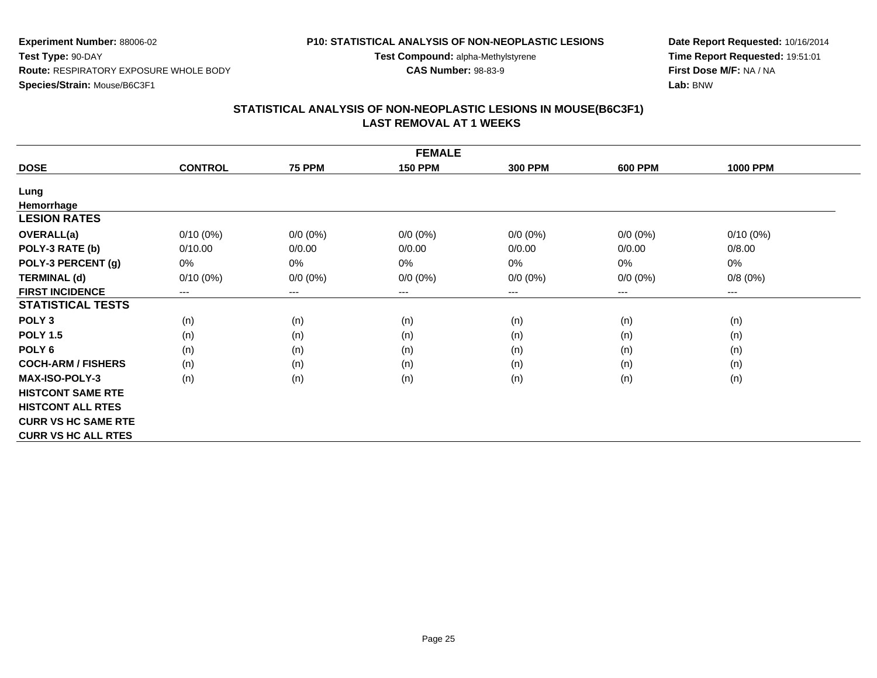# **P10: STATISTICAL ANALYSIS OF NON-NEOPLASTIC LESIONS**

**Test Compound:** alpha-Methylstyrene

**CAS Number:** 98-83-9

**Date Report Requested:** 10/16/2014**Time Report Requested:** 19:51:01**First Dose M/F:** NA / NA**Lab:** BNW

| <b>FEMALE</b>                     |                |               |                |                |                            |                        |  |  |  |
|-----------------------------------|----------------|---------------|----------------|----------------|----------------------------|------------------------|--|--|--|
| <b>DOSE</b>                       | <b>CONTROL</b> | <b>75 PPM</b> | <b>150 PPM</b> | <b>300 PPM</b> | <b>600 PPM</b>             | <b>1000 PPM</b>        |  |  |  |
|                                   |                |               |                |                |                            |                        |  |  |  |
| Lung                              |                |               |                |                |                            |                        |  |  |  |
| Hemorrhage<br><b>LESION RATES</b> |                |               |                |                |                            |                        |  |  |  |
| OVERALL(a)                        | $0/10(0\%)$    | $0/0 (0\%)$   | $0/0 (0\%)$    | $0/0 (0\%)$    | $0/0 (0\%)$                | $0/10(0\%)$            |  |  |  |
| POLY-3 RATE (b)                   | 0/10.00        | 0/0.00        | 0/0.00         | 0/0.00         | 0/0.00                     | 0/8.00                 |  |  |  |
| POLY-3 PERCENT (g)                | 0%             | 0%            | 0%             | 0%             | 0%                         | $0\%$                  |  |  |  |
| <b>TERMINAL (d)</b>               | $0/10(0\%)$    | $0/0 (0\%)$   | $0/0 (0\%)$    | $0/0 (0\%)$    | $0/0 (0\%)$                | 0/8(0%)                |  |  |  |
| <b>FIRST INCIDENCE</b>            | ---            | ---           | $---$          | ---            | $\qquad \qquad - \qquad -$ | $\qquad \qquad \cdots$ |  |  |  |
| <b>STATISTICAL TESTS</b>          |                |               |                |                |                            |                        |  |  |  |
| POLY <sub>3</sub>                 | (n)            | (n)           | (n)            | (n)            | (n)                        | (n)                    |  |  |  |
| <b>POLY 1.5</b>                   | (n)            | (n)           | (n)            | (n)            | (n)                        | (n)                    |  |  |  |
| POLY <sub>6</sub>                 | (n)            | (n)           | (n)            | (n)            | (n)                        | (n)                    |  |  |  |
| <b>COCH-ARM / FISHERS</b>         | (n)            | (n)           | (n)            | (n)            | (n)                        | (n)                    |  |  |  |
| <b>MAX-ISO-POLY-3</b>             | (n)            | (n)           | (n)            | (n)            | (n)                        | (n)                    |  |  |  |
| <b>HISTCONT SAME RTE</b>          |                |               |                |                |                            |                        |  |  |  |
| <b>HISTCONT ALL RTES</b>          |                |               |                |                |                            |                        |  |  |  |
| <b>CURR VS HC SAME RTE</b>        |                |               |                |                |                            |                        |  |  |  |
| <b>CURR VS HC ALL RTES</b>        |                |               |                |                |                            |                        |  |  |  |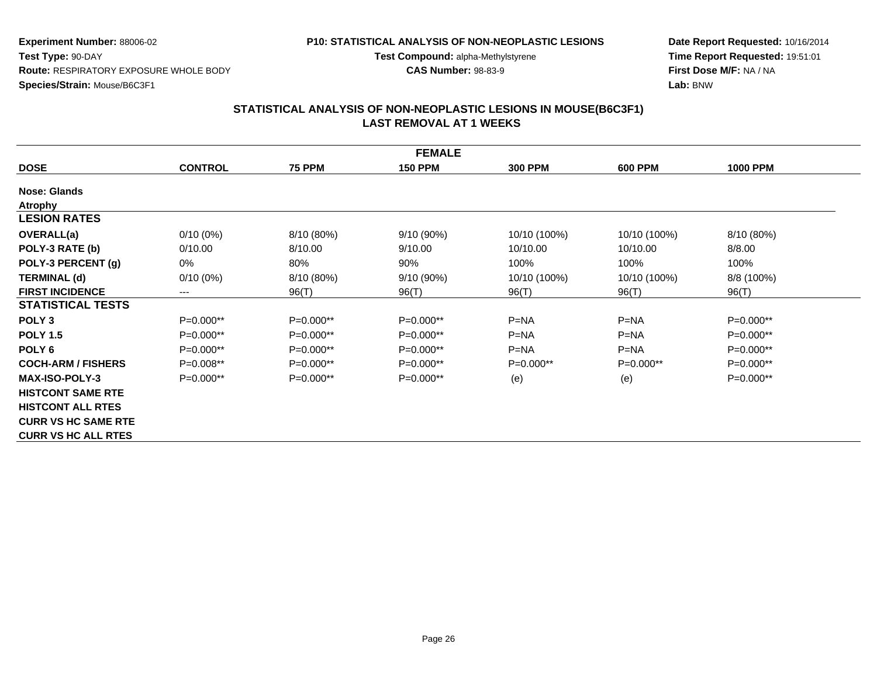# **P10: STATISTICAL ANALYSIS OF NON-NEOPLASTIC LESIONS**

**Test Compound:** alpha-Methylstyrene

**CAS Number:** 98-83-9

**Date Report Requested:** 10/16/2014**Time Report Requested:** 19:51:01**First Dose M/F:** NA / NA**Lab:** BNW

| <b>FEMALE</b>              |                |               |                |                |                |                 |  |  |  |
|----------------------------|----------------|---------------|----------------|----------------|----------------|-----------------|--|--|--|
| <b>DOSE</b>                | <b>CONTROL</b> | <b>75 PPM</b> | <b>150 PPM</b> | <b>300 PPM</b> | <b>600 PPM</b> | <b>1000 PPM</b> |  |  |  |
| <b>Nose: Glands</b>        |                |               |                |                |                |                 |  |  |  |
| <b>Atrophy</b>             |                |               |                |                |                |                 |  |  |  |
| <b>LESION RATES</b>        |                |               |                |                |                |                 |  |  |  |
| <b>OVERALL(a)</b>          | $0/10(0\%)$    | 8/10 (80%)    | 9/10(90%)      | 10/10 (100%)   | 10/10 (100%)   | 8/10 (80%)      |  |  |  |
| POLY-3 RATE (b)            | 0/10.00        | 8/10.00       | 9/10.00        | 10/10.00       | 10/10.00       | 8/8.00          |  |  |  |
| POLY-3 PERCENT (g)         | 0%             | 80%           | 90%            | 100%           | 100%           | 100%            |  |  |  |
| <b>TERMINAL (d)</b>        | $0/10(0\%)$    | 8/10 (80%)    | 9/10(90%)      | 10/10 (100%)   | 10/10 (100%)   | 8/8 (100%)      |  |  |  |
| <b>FIRST INCIDENCE</b>     | ---            | 96(T)         | 96(T)          | 96(T)          | 96(T)          | 96(T)           |  |  |  |
| <b>STATISTICAL TESTS</b>   |                |               |                |                |                |                 |  |  |  |
| POLY <sub>3</sub>          | P=0.000**      | P=0.000**     | P=0.000**      | $P=NA$         | $P=NA$         | P=0.000**       |  |  |  |
| <b>POLY 1.5</b>            | $P=0.000**$    | $P=0.000**$   | $P=0.000**$    | $P=NA$         | $P = NA$       | P=0.000**       |  |  |  |
| POLY <sub>6</sub>          | P=0.000**      | P=0.000**     | P=0.000**      | $P=NA$         | $P=NA$         | P=0.000**       |  |  |  |
| <b>COCH-ARM / FISHERS</b>  | $P=0.008**$    | $P=0.000**$   | $P=0.000**$    | $P=0.000**$    | $P=0.000**$    | $P=0.000**$     |  |  |  |
| <b>MAX-ISO-POLY-3</b>      | $P=0.000**$    | $P=0.000**$   | $P=0.000**$    | (e)            | (e)            | $P=0.000**$     |  |  |  |
| <b>HISTCONT SAME RTE</b>   |                |               |                |                |                |                 |  |  |  |
| <b>HISTCONT ALL RTES</b>   |                |               |                |                |                |                 |  |  |  |
| <b>CURR VS HC SAME RTE</b> |                |               |                |                |                |                 |  |  |  |
| <b>CURR VS HC ALL RTES</b> |                |               |                |                |                |                 |  |  |  |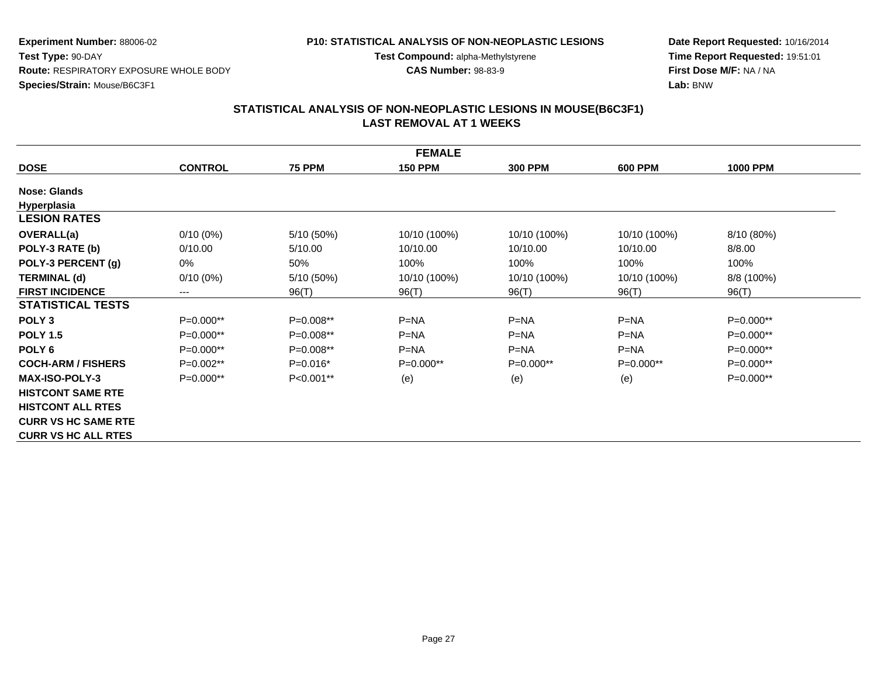# **P10: STATISTICAL ANALYSIS OF NON-NEOPLASTIC LESIONS**

**Test Compound:** alpha-Methylstyrene

**CAS Number:** 98-83-9

**Date Report Requested:** 10/16/2014**Time Report Requested:** 19:51:01**First Dose M/F:** NA / NA**Lab:** BNW

| <b>FEMALE</b>              |                |               |                |                |                |                 |  |  |  |
|----------------------------|----------------|---------------|----------------|----------------|----------------|-----------------|--|--|--|
| <b>DOSE</b>                | <b>CONTROL</b> | <b>75 PPM</b> | <b>150 PPM</b> | <b>300 PPM</b> | <b>600 PPM</b> | <b>1000 PPM</b> |  |  |  |
| <b>Nose: Glands</b>        |                |               |                |                |                |                 |  |  |  |
| Hyperplasia                |                |               |                |                |                |                 |  |  |  |
| <b>LESION RATES</b>        |                |               |                |                |                |                 |  |  |  |
| <b>OVERALL(a)</b>          | $0/10(0\%)$    | 5/10 (50%)    | 10/10 (100%)   | 10/10 (100%)   | 10/10 (100%)   | 8/10 (80%)      |  |  |  |
| POLY-3 RATE (b)            | 0/10.00        | 5/10.00       | 10/10.00       | 10/10.00       | 10/10.00       | 8/8.00          |  |  |  |
| POLY-3 PERCENT (g)         | 0%             | 50%           | 100%           | 100%           | 100%           | 100%            |  |  |  |
| <b>TERMINAL (d)</b>        | $0/10(0\%)$    | 5/10 (50%)    | 10/10 (100%)   | 10/10 (100%)   | 10/10 (100%)   | 8/8 (100%)      |  |  |  |
| <b>FIRST INCIDENCE</b>     | ---            | 96(T)         | 96(T)          | 96(T)          | 96(T)          | 96(T)           |  |  |  |
| <b>STATISTICAL TESTS</b>   |                |               |                |                |                |                 |  |  |  |
| POLY <sub>3</sub>          | $P=0.000**$    | P=0.008**     | $P=NA$         | $P=NA$         | $P=NA$         | P=0.000**       |  |  |  |
| <b>POLY 1.5</b>            | P=0.000**      | P=0.008**     | $P=NA$         | $P=NA$         | $P=NA$         | $P=0.000**$     |  |  |  |
| POLY 6                     | $P=0.000**$    | P=0.008**     | $P=NA$         | $P=NA$         | $P=NA$         | P=0.000**       |  |  |  |
| <b>COCH-ARM / FISHERS</b>  | $P=0.002**$    | $P=0.016*$    | $P=0.000**$    | $P=0.000**$    | $P=0.000**$    | $P=0.000**$     |  |  |  |
| <b>MAX-ISO-POLY-3</b>      | $P=0.000**$    | P<0.001**     | (e)            | (e)            | (e)            | P=0.000**       |  |  |  |
| <b>HISTCONT SAME RTE</b>   |                |               |                |                |                |                 |  |  |  |
| <b>HISTCONT ALL RTES</b>   |                |               |                |                |                |                 |  |  |  |
| <b>CURR VS HC SAME RTE</b> |                |               |                |                |                |                 |  |  |  |
| <b>CURR VS HC ALL RTES</b> |                |               |                |                |                |                 |  |  |  |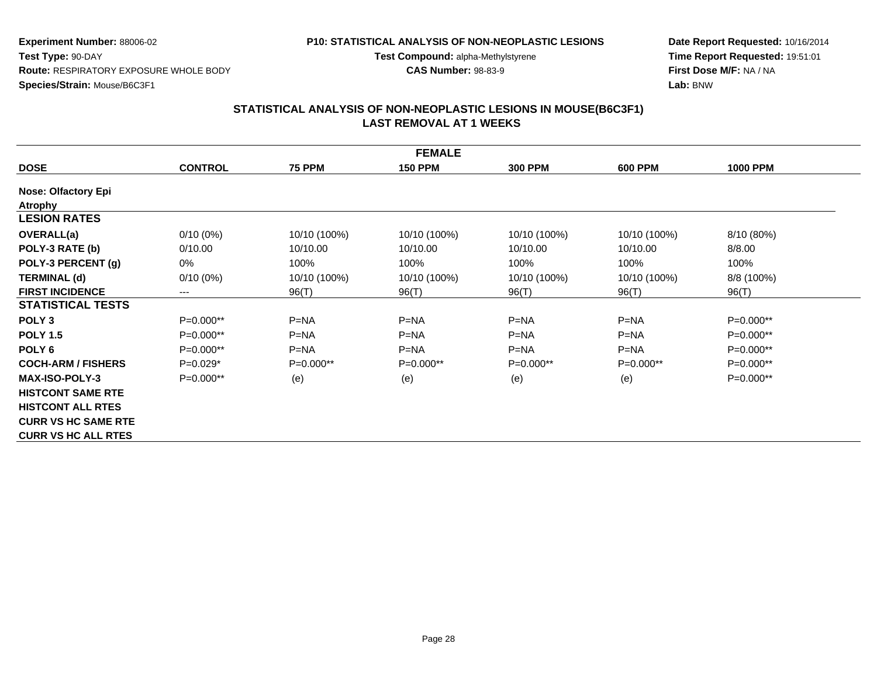# **P10: STATISTICAL ANALYSIS OF NON-NEOPLASTIC LESIONS**

**Test Compound:** alpha-Methylstyrene

**CAS Number:** 98-83-9

**Date Report Requested:** 10/16/2014**Time Report Requested:** 19:51:01**First Dose M/F:** NA / NA**Lab:** BNW

|                            | <b>FEMALE</b>  |               |                |                |                |                 |  |  |  |  |
|----------------------------|----------------|---------------|----------------|----------------|----------------|-----------------|--|--|--|--|
| <b>DOSE</b>                | <b>CONTROL</b> | <b>75 PPM</b> | <b>150 PPM</b> | <b>300 PPM</b> | <b>600 PPM</b> | <b>1000 PPM</b> |  |  |  |  |
| <b>Nose: Olfactory Epi</b> |                |               |                |                |                |                 |  |  |  |  |
| <b>Atrophy</b>             |                |               |                |                |                |                 |  |  |  |  |
| <b>LESION RATES</b>        |                |               |                |                |                |                 |  |  |  |  |
| OVERALL(a)                 | $0/10(0\%)$    | 10/10 (100%)  | 10/10 (100%)   | 10/10 (100%)   | 10/10 (100%)   | 8/10 (80%)      |  |  |  |  |
| POLY-3 RATE (b)            | 0/10.00        | 10/10.00      | 10/10.00       | 10/10.00       | 10/10.00       | 8/8.00          |  |  |  |  |
| POLY-3 PERCENT (g)         | 0%             | 100%          | 100%           | 100%           | 100%           | 100%            |  |  |  |  |
| <b>TERMINAL (d)</b>        | $0/10(0\%)$    | 10/10 (100%)  | 10/10 (100%)   | 10/10 (100%)   | 10/10 (100%)   | 8/8 (100%)      |  |  |  |  |
| <b>FIRST INCIDENCE</b>     | $---$          | 96(T)         | 96(T)          | 96(T)          | 96(T)          | 96(T)           |  |  |  |  |
| <b>STATISTICAL TESTS</b>   |                |               |                |                |                |                 |  |  |  |  |
| POLY <sub>3</sub>          | P=0.000**      | $P=NA$        | $P=NA$         | $P=NA$         | $P=NA$         | P=0.000**       |  |  |  |  |
| <b>POLY 1.5</b>            | P=0.000**      | $P = NA$      | $P = NA$       | $P = NA$       | $P = NA$       | P=0.000**       |  |  |  |  |
| POLY <sub>6</sub>          | P=0.000**      | $P=NA$        | $P=NA$         | $P=NA$         | $P=NA$         | P=0.000**       |  |  |  |  |
| <b>COCH-ARM / FISHERS</b>  | $P=0.029*$     | $P=0.000**$   | $P=0.000**$    | $P=0.000**$    | $P=0.000**$    | $P=0.000**$     |  |  |  |  |
| <b>MAX-ISO-POLY-3</b>      | $P=0.000**$    | (e)           | (e)            | (e)            | (e)            | P=0.000**       |  |  |  |  |
| <b>HISTCONT SAME RTE</b>   |                |               |                |                |                |                 |  |  |  |  |
| <b>HISTCONT ALL RTES</b>   |                |               |                |                |                |                 |  |  |  |  |
| <b>CURR VS HC SAME RTE</b> |                |               |                |                |                |                 |  |  |  |  |
| <b>CURR VS HC ALL RTES</b> |                |               |                |                |                |                 |  |  |  |  |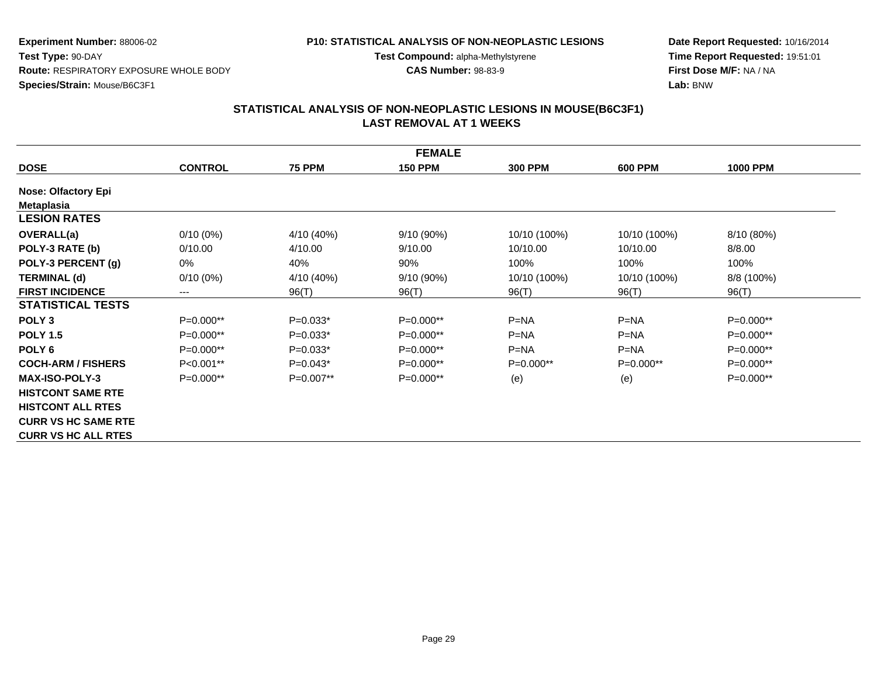# **P10: STATISTICAL ANALYSIS OF NON-NEOPLASTIC LESIONS**

**Test Compound:** alpha-Methylstyrene

**CAS Number:** 98-83-9

**Date Report Requested:** 10/16/2014**Time Report Requested:** 19:51:01**First Dose M/F:** NA / NA**Lab:** BNW

|                            | <b>FEMALE</b>  |               |                |                |                |                 |  |  |  |  |
|----------------------------|----------------|---------------|----------------|----------------|----------------|-----------------|--|--|--|--|
| <b>DOSE</b>                | <b>CONTROL</b> | <b>75 PPM</b> | <b>150 PPM</b> | <b>300 PPM</b> | <b>600 PPM</b> | <b>1000 PPM</b> |  |  |  |  |
| <b>Nose: Olfactory Epi</b> |                |               |                |                |                |                 |  |  |  |  |
| <b>Metaplasia</b>          |                |               |                |                |                |                 |  |  |  |  |
| <b>LESION RATES</b>        |                |               |                |                |                |                 |  |  |  |  |
| <b>OVERALL(a)</b>          | $0/10(0\%)$    | 4/10 (40%)    | 9/10 (90%)     | 10/10 (100%)   | 10/10 (100%)   | 8/10 (80%)      |  |  |  |  |
| POLY-3 RATE (b)            | 0/10.00        | 4/10.00       | 9/10.00        | 10/10.00       | 10/10.00       | 8/8.00          |  |  |  |  |
| POLY-3 PERCENT (g)         | 0%             | 40%           | 90%            | 100%           | 100%           | 100%            |  |  |  |  |
| <b>TERMINAL (d)</b>        | $0/10(0\%)$    | 4/10 (40%)    | 9/10 (90%)     | 10/10 (100%)   | 10/10 (100%)   | 8/8 (100%)      |  |  |  |  |
| <b>FIRST INCIDENCE</b>     | ---            | 96(T)         | 96(T)          | 96(T)          | 96(T)          | 96(T)           |  |  |  |  |
| <b>STATISTICAL TESTS</b>   |                |               |                |                |                |                 |  |  |  |  |
| POLY <sub>3</sub>          | P=0.000**      | $P=0.033*$    | $P=0.000**$    | $P=NA$         | $P = NA$       | $P=0.000**$     |  |  |  |  |
| <b>POLY 1.5</b>            | $P=0.000**$    | $P=0.033*$    | $P=0.000**$    | $P=NA$         | $P = NA$       | $P=0.000**$     |  |  |  |  |
| POLY <sub>6</sub>          | $P=0.000**$    | $P=0.033*$    | $P=0.000**$    | $P=NA$         | $P=NA$         | $P=0.000**$     |  |  |  |  |
| <b>COCH-ARM / FISHERS</b>  | $P<0.001**$    | $P=0.043*$    | $P=0.000**$    | $P=0.000**$    | $P=0.000**$    | $P=0.000**$     |  |  |  |  |
| <b>MAX-ISO-POLY-3</b>      | $P=0.000**$    | P=0.007**     | $P=0.000**$    | (e)            | (e)            | $P=0.000**$     |  |  |  |  |
| <b>HISTCONT SAME RTE</b>   |                |               |                |                |                |                 |  |  |  |  |
| <b>HISTCONT ALL RTES</b>   |                |               |                |                |                |                 |  |  |  |  |
| <b>CURR VS HC SAME RTE</b> |                |               |                |                |                |                 |  |  |  |  |
| <b>CURR VS HC ALL RTES</b> |                |               |                |                |                |                 |  |  |  |  |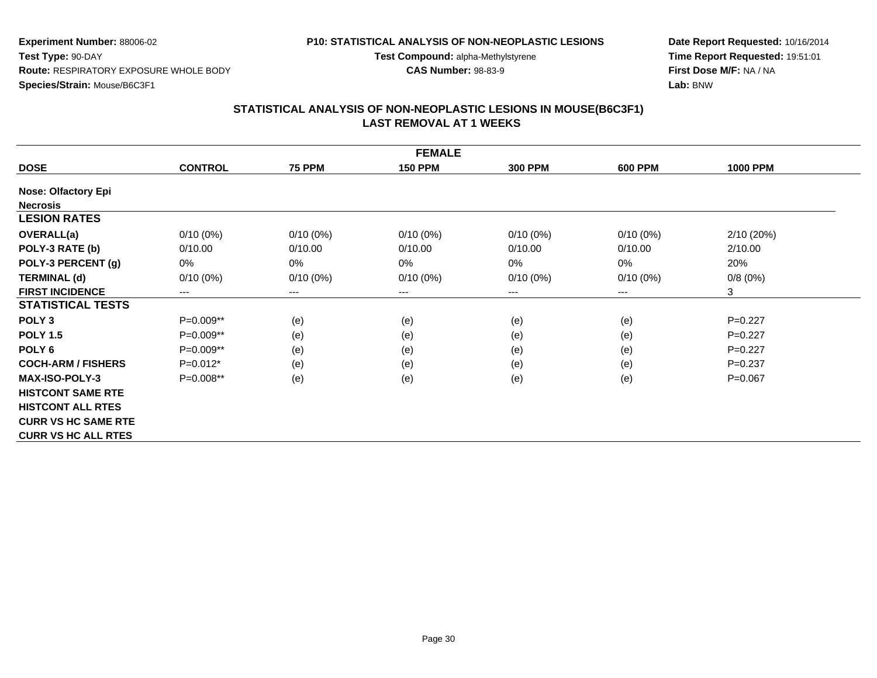# **P10: STATISTICAL ANALYSIS OF NON-NEOPLASTIC LESIONS**

**Test Compound:** alpha-Methylstyrene

**CAS Number:** 98-83-9

**Date Report Requested:** 10/16/2014**Time Report Requested:** 19:51:01**First Dose M/F:** NA / NA**Lab:** BNW

|                            | <b>FEMALE</b>  |               |                |                |                |                 |  |  |  |  |
|----------------------------|----------------|---------------|----------------|----------------|----------------|-----------------|--|--|--|--|
| <b>DOSE</b>                | <b>CONTROL</b> | <b>75 PPM</b> | <b>150 PPM</b> | <b>300 PPM</b> | <b>600 PPM</b> | <b>1000 PPM</b> |  |  |  |  |
| <b>Nose: Olfactory Epi</b> |                |               |                |                |                |                 |  |  |  |  |
| <b>Necrosis</b>            |                |               |                |                |                |                 |  |  |  |  |
| <b>LESION RATES</b>        |                |               |                |                |                |                 |  |  |  |  |
| <b>OVERALL(a)</b>          | $0/10(0\%)$    | $0/10(0\%)$   | $0/10(0\%)$    | $0/10(0\%)$    | $0/10(0\%)$    | 2/10(20%)       |  |  |  |  |
| POLY-3 RATE (b)            | 0/10.00        | 0/10.00       | 0/10.00        | 0/10.00        | 0/10.00        | 2/10.00         |  |  |  |  |
| POLY-3 PERCENT (g)         | 0%             | 0%            | 0%             | 0%             | 0%             | 20%             |  |  |  |  |
| <b>TERMINAL (d)</b>        | $0/10(0\%)$    | $0/10(0\%)$   | $0/10(0\%)$    | $0/10(0\%)$    | $0/10(0\%)$    | 0/8(0%)         |  |  |  |  |
| <b>FIRST INCIDENCE</b>     | ---            | ---           | $---$          | ---            | $---$          | 3               |  |  |  |  |
| <b>STATISTICAL TESTS</b>   |                |               |                |                |                |                 |  |  |  |  |
| POLY <sub>3</sub>          | P=0.009**      | (e)           | (e)            | (e)            | (e)            | $P=0.227$       |  |  |  |  |
| <b>POLY 1.5</b>            | P=0.009**      | (e)           | (e)            | (e)            | (e)            | $P=0.227$       |  |  |  |  |
| POLY <sub>6</sub>          | $P=0.009**$    | (e)           | (e)            | (e)            | (e)            | $P=0.227$       |  |  |  |  |
| <b>COCH-ARM / FISHERS</b>  | $P=0.012*$     | (e)           | (e)            | (e)            | (e)            | $P=0.237$       |  |  |  |  |
| <b>MAX-ISO-POLY-3</b>      | P=0.008**      | (e)           | (e)            | (e)            | (e)            | $P = 0.067$     |  |  |  |  |
| <b>HISTCONT SAME RTE</b>   |                |               |                |                |                |                 |  |  |  |  |
| <b>HISTCONT ALL RTES</b>   |                |               |                |                |                |                 |  |  |  |  |
| <b>CURR VS HC SAME RTE</b> |                |               |                |                |                |                 |  |  |  |  |
| <b>CURR VS HC ALL RTES</b> |                |               |                |                |                |                 |  |  |  |  |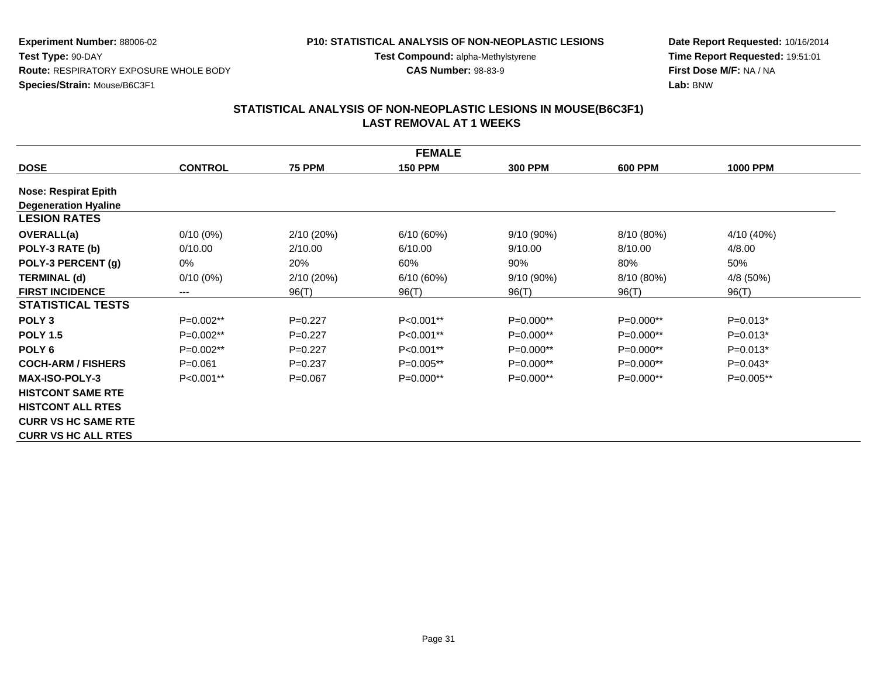# **P10: STATISTICAL ANALYSIS OF NON-NEOPLASTIC LESIONS**

**Test Compound:** alpha-Methylstyrene

**CAS Number:** 98-83-9

**Date Report Requested:** 10/16/2014**Time Report Requested:** 19:51:01**First Dose M/F:** NA / NA**Lab:** BNW

|                             | <b>FEMALE</b>  |               |                |                |                |                 |  |  |  |  |
|-----------------------------|----------------|---------------|----------------|----------------|----------------|-----------------|--|--|--|--|
| <b>DOSE</b>                 | <b>CONTROL</b> | <b>75 PPM</b> | <b>150 PPM</b> | <b>300 PPM</b> | <b>600 PPM</b> | <b>1000 PPM</b> |  |  |  |  |
| <b>Nose: Respirat Epith</b> |                |               |                |                |                |                 |  |  |  |  |
| <b>Degeneration Hyaline</b> |                |               |                |                |                |                 |  |  |  |  |
| <b>LESION RATES</b>         |                |               |                |                |                |                 |  |  |  |  |
| <b>OVERALL(a)</b>           | $0/10(0\%)$    | 2/10(20%)     | 6/10(60%)      | 9/10 (90%)     | 8/10 (80%)     | 4/10 (40%)      |  |  |  |  |
| POLY-3 RATE (b)             | 0/10.00        | 2/10.00       | 6/10.00        | 9/10.00        | 8/10.00        | 4/8.00          |  |  |  |  |
| POLY-3 PERCENT (g)          | 0%             | 20%           | 60%            | 90%            | 80%            | 50%             |  |  |  |  |
| <b>TERMINAL (d)</b>         | $0/10(0\%)$    | 2/10(20%)     | 6/10(60%)      | 9/10 (90%)     | 8/10 (80%)     | 4/8 (50%)       |  |  |  |  |
| <b>FIRST INCIDENCE</b>      | ---            | 96(T)         | 96(T)          | 96(T)          | 96(T)          | 96(T)           |  |  |  |  |
| <b>STATISTICAL TESTS</b>    |                |               |                |                |                |                 |  |  |  |  |
| POLY <sub>3</sub>           | $P=0.002**$    | $P=0.227$     | P<0.001**      | P=0.000**      | $P=0.000**$    | $P=0.013*$      |  |  |  |  |
| <b>POLY 1.5</b>             | $P=0.002***$   | $P=0.227$     | $P<0.001**$    | $P=0.000**$    | $P=0.000**$    | $P=0.013*$      |  |  |  |  |
| POLY 6                      | P=0.002**      | $P=0.227$     | P<0.001**      | P=0.000**      | $P=0.000**$    | $P=0.013*$      |  |  |  |  |
| <b>COCH-ARM / FISHERS</b>   | $P = 0.061$    | $P=0.237$     | P=0.005**      | $P=0.000**$    | $P=0.000**$    | $P=0.043*$      |  |  |  |  |
| <b>MAX-ISO-POLY-3</b>       | $P<0.001**$    | $P=0.067$     | $P=0.000**$    | $P=0.000**$    | $P=0.000**$    | $P=0.005**$     |  |  |  |  |
| <b>HISTCONT SAME RTE</b>    |                |               |                |                |                |                 |  |  |  |  |
| <b>HISTCONT ALL RTES</b>    |                |               |                |                |                |                 |  |  |  |  |
| <b>CURR VS HC SAME RTE</b>  |                |               |                |                |                |                 |  |  |  |  |
| <b>CURR VS HC ALL RTES</b>  |                |               |                |                |                |                 |  |  |  |  |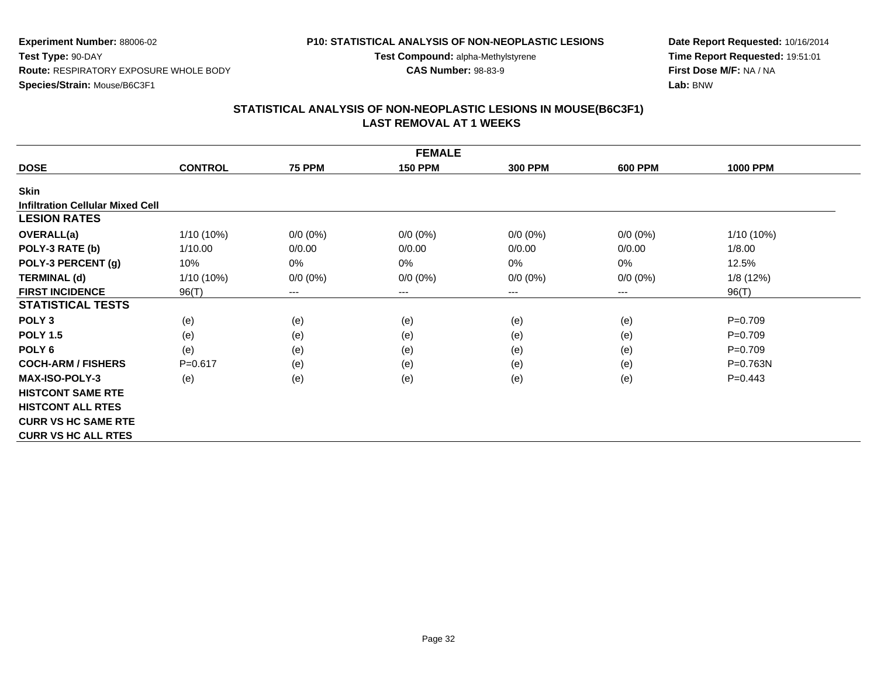# **P10: STATISTICAL ANALYSIS OF NON-NEOPLASTIC LESIONS**

**Test Compound:** alpha-Methylstyrene

**CAS Number:** 98-83-9

**Date Report Requested:** 10/16/2014**Time Report Requested:** 19:51:01**First Dose M/F:** NA / NA**Lab:** BNW

|                                         | <b>FEMALE</b>  |               |                |                |                            |                 |  |  |  |  |
|-----------------------------------------|----------------|---------------|----------------|----------------|----------------------------|-----------------|--|--|--|--|
| <b>DOSE</b>                             | <b>CONTROL</b> | <b>75 PPM</b> | <b>150 PPM</b> | <b>300 PPM</b> | <b>600 PPM</b>             | <b>1000 PPM</b> |  |  |  |  |
| <b>Skin</b>                             |                |               |                |                |                            |                 |  |  |  |  |
| <b>Infiltration Cellular Mixed Cell</b> |                |               |                |                |                            |                 |  |  |  |  |
| <b>LESION RATES</b>                     |                |               |                |                |                            |                 |  |  |  |  |
| <b>OVERALL(a)</b>                       | $1/10(10\%)$   | $0/0 (0\%)$   | $0/0 (0\%)$    | $0/0 (0\%)$    | $0/0 (0\%)$                | 1/10 (10%)      |  |  |  |  |
| POLY-3 RATE (b)                         | 1/10.00        | 0/0.00        | 0/0.00         | 0/0.00         | 0/0.00                     | 1/8.00          |  |  |  |  |
| POLY-3 PERCENT (g)                      | 10%            | $0\%$         | 0%             | 0%             | 0%                         | 12.5%           |  |  |  |  |
| <b>TERMINAL (d)</b>                     | $1/10(10\%)$   | $0/0 (0\%)$   | $0/0 (0\%)$    | $0/0 (0\%)$    | $0/0 (0\%)$                | 1/8(12%)        |  |  |  |  |
| <b>FIRST INCIDENCE</b>                  | 96(T)          | $---$         | ---            | ---            | $\qquad \qquad - \qquad -$ | 96(T)           |  |  |  |  |
| <b>STATISTICAL TESTS</b>                |                |               |                |                |                            |                 |  |  |  |  |
| POLY <sub>3</sub>                       | (e)            | (e)           | (e)            | (e)            | (e)                        | $P=0.709$       |  |  |  |  |
| <b>POLY 1.5</b>                         | (e)            | (e)           | (e)            | (e)            | (e)                        | $P=0.709$       |  |  |  |  |
| POLY <sub>6</sub>                       | (e)            | (e)           | (e)            | (e)            | (e)                        | $P=0.709$       |  |  |  |  |
| <b>COCH-ARM / FISHERS</b>               | $P = 0.617$    | (e)           | (e)            | (e)            | (e)                        | P=0.763N        |  |  |  |  |
| <b>MAX-ISO-POLY-3</b>                   | (e)            | (e)           | (e)            | (e)            | (e)                        | $P=0.443$       |  |  |  |  |
| <b>HISTCONT SAME RTE</b>                |                |               |                |                |                            |                 |  |  |  |  |
| <b>HISTCONT ALL RTES</b>                |                |               |                |                |                            |                 |  |  |  |  |
| <b>CURR VS HC SAME RTE</b>              |                |               |                |                |                            |                 |  |  |  |  |
| <b>CURR VS HC ALL RTES</b>              |                |               |                |                |                            |                 |  |  |  |  |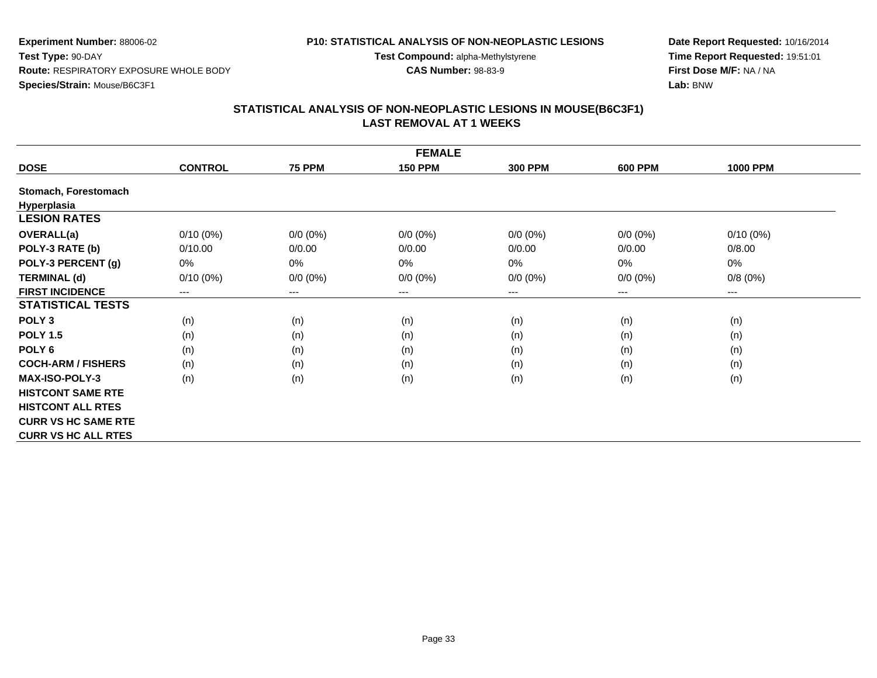# **P10: STATISTICAL ANALYSIS OF NON-NEOPLASTIC LESIONS**

**Test Compound:** alpha-Methylstyrene

**CAS Number:** 98-83-9

**Date Report Requested:** 10/16/2014**Time Report Requested:** 19:51:01**First Dose M/F:** NA / NA**Lab:** BNW

|                            | <b>FEMALE</b>  |               |                |                |                |                 |  |  |  |  |
|----------------------------|----------------|---------------|----------------|----------------|----------------|-----------------|--|--|--|--|
| <b>DOSE</b>                | <b>CONTROL</b> | <b>75 PPM</b> | <b>150 PPM</b> | <b>300 PPM</b> | <b>600 PPM</b> | <b>1000 PPM</b> |  |  |  |  |
| Stomach, Forestomach       |                |               |                |                |                |                 |  |  |  |  |
| Hyperplasia                |                |               |                |                |                |                 |  |  |  |  |
| <b>LESION RATES</b>        |                |               |                |                |                |                 |  |  |  |  |
| <b>OVERALL(a)</b>          | $0/10(0\%)$    | $0/0 (0\%)$   | $0/0 (0\%)$    | $0/0 (0\%)$    | $0/0(0\%)$     | $0/10(0\%)$     |  |  |  |  |
| POLY-3 RATE (b)            | 0/10.00        | 0/0.00        | 0/0.00         | 0/0.00         | 0/0.00         | 0/8.00          |  |  |  |  |
| POLY-3 PERCENT (g)         | 0%             | 0%            | $0\%$          | 0%             | 0%             | 0%              |  |  |  |  |
| <b>TERMINAL (d)</b>        | $0/10(0\%)$    | $0/0 (0\%)$   | $0/0 (0\%)$    | $0/0 (0\%)$    | $0/0 (0\%)$    | 0/8(0%)         |  |  |  |  |
| <b>FIRST INCIDENCE</b>     | $---$          | $--$          | ---            | ---            | $---$          | $---$           |  |  |  |  |
| <b>STATISTICAL TESTS</b>   |                |               |                |                |                |                 |  |  |  |  |
| POLY <sub>3</sub>          | (n)            | (n)           | (n)            | (n)            | (n)            | (n)             |  |  |  |  |
| <b>POLY 1.5</b>            | (n)            | (n)           | (n)            | (n)            | (n)            | (n)             |  |  |  |  |
| POLY <sub>6</sub>          | (n)            | (n)           | (n)            | (n)            | (n)            | (n)             |  |  |  |  |
| <b>COCH-ARM / FISHERS</b>  | (n)            | (n)           | (n)            | (n)            | (n)            | (n)             |  |  |  |  |
| <b>MAX-ISO-POLY-3</b>      | (n)            | (n)           | (n)            | (n)            | (n)            | (n)             |  |  |  |  |
| <b>HISTCONT SAME RTE</b>   |                |               |                |                |                |                 |  |  |  |  |
| <b>HISTCONT ALL RTES</b>   |                |               |                |                |                |                 |  |  |  |  |
| <b>CURR VS HC SAME RTE</b> |                |               |                |                |                |                 |  |  |  |  |
| <b>CURR VS HC ALL RTES</b> |                |               |                |                |                |                 |  |  |  |  |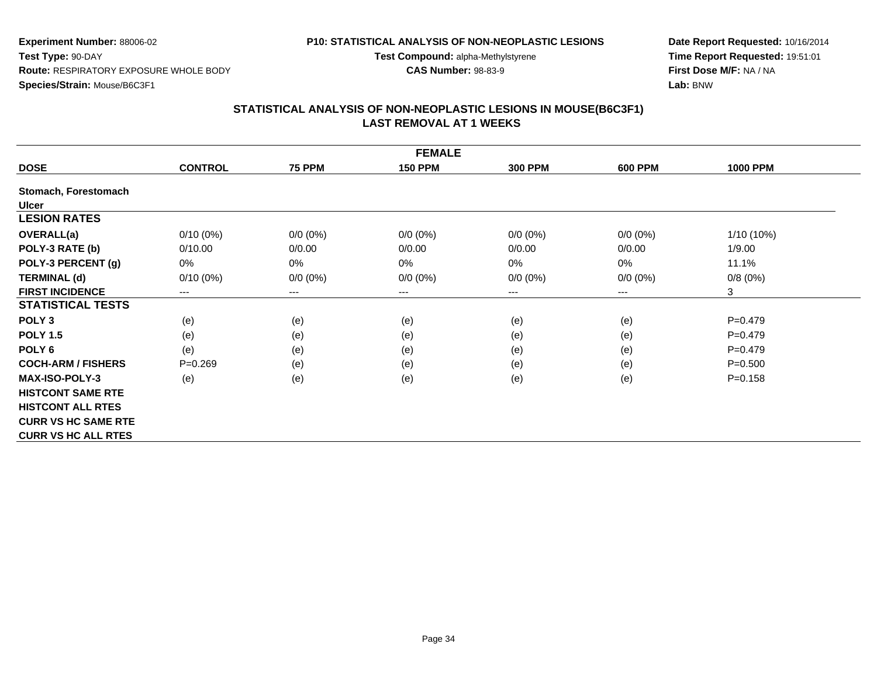# **P10: STATISTICAL ANALYSIS OF NON-NEOPLASTIC LESIONS**

**Test Compound:** alpha-Methylstyrene

**CAS Number:** 98-83-9

**Date Report Requested:** 10/16/2014**Time Report Requested:** 19:51:01**First Dose M/F:** NA / NA**Lab:** BNW

|                            | <b>FEMALE</b>  |               |                |                |             |                 |  |  |  |  |
|----------------------------|----------------|---------------|----------------|----------------|-------------|-----------------|--|--|--|--|
| <b>DOSE</b>                | <b>CONTROL</b> | <b>75 PPM</b> | <b>150 PPM</b> | <b>300 PPM</b> | 600 PPM     | <b>1000 PPM</b> |  |  |  |  |
| Stomach, Forestomach       |                |               |                |                |             |                 |  |  |  |  |
| <b>Ulcer</b>               |                |               |                |                |             |                 |  |  |  |  |
| <b>LESION RATES</b>        |                |               |                |                |             |                 |  |  |  |  |
| OVERALL(a)                 | $0/10(0\%)$    | $0/0 (0\%)$   | $0/0 (0\%)$    | $0/0(0\%)$     | $0/0 (0\%)$ | 1/10 (10%)      |  |  |  |  |
| POLY-3 RATE (b)            | 0/10.00        | 0/0.00        | 0/0.00         | 0/0.00         | 0/0.00      | 1/9.00          |  |  |  |  |
| POLY-3 PERCENT (g)         | $0\%$          | $0\%$         | $0\%$          | 0%             | 0%          | 11.1%           |  |  |  |  |
| <b>TERMINAL (d)</b>        | $0/10(0\%)$    | $0/0 (0\%)$   | $0/0 (0\%)$    | $0/0 (0\%)$    | $0/0 (0\%)$ | 0/8(0%)         |  |  |  |  |
| <b>FIRST INCIDENCE</b>     | $---$          | $--$          | ---            | ---            | ---         | 3               |  |  |  |  |
| <b>STATISTICAL TESTS</b>   |                |               |                |                |             |                 |  |  |  |  |
| POLY <sub>3</sub>          | (e)            | (e)           | (e)            | (e)            | (e)         | $P=0.479$       |  |  |  |  |
| <b>POLY 1.5</b>            | (e)            | (e)           | (e)            | (e)            | (e)         | $P=0.479$       |  |  |  |  |
| POLY <sub>6</sub>          | (e)            | (e)           | (e)            | (e)            | (e)         | $P=0.479$       |  |  |  |  |
| <b>COCH-ARM / FISHERS</b>  | $P = 0.269$    | (e)           | (e)            | (e)            | (e)         | $P = 0.500$     |  |  |  |  |
| <b>MAX-ISO-POLY-3</b>      | (e)            | (e)           | (e)            | (e)            | (e)         | $P = 0.158$     |  |  |  |  |
| <b>HISTCONT SAME RTE</b>   |                |               |                |                |             |                 |  |  |  |  |
| <b>HISTCONT ALL RTES</b>   |                |               |                |                |             |                 |  |  |  |  |
| <b>CURR VS HC SAME RTE</b> |                |               |                |                |             |                 |  |  |  |  |
| <b>CURR VS HC ALL RTES</b> |                |               |                |                |             |                 |  |  |  |  |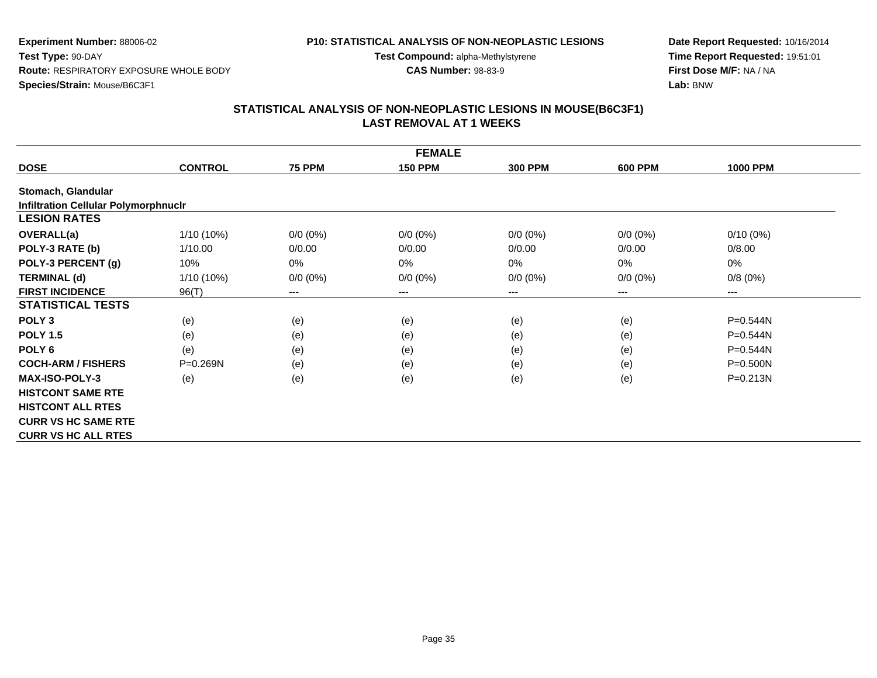# **P10: STATISTICAL ANALYSIS OF NON-NEOPLASTIC LESIONS**

**Test Compound:** alpha-Methylstyrene

**CAS Number:** 98-83-9

**Date Report Requested:** 10/16/2014**Time Report Requested:** 19:51:01**First Dose M/F:** NA / NA**Lab:** BNW

|                                             | <b>FEMALE</b>  |                        |                |                |                |                 |  |  |  |  |
|---------------------------------------------|----------------|------------------------|----------------|----------------|----------------|-----------------|--|--|--|--|
| <b>DOSE</b>                                 | <b>CONTROL</b> | <b>75 PPM</b>          | <b>150 PPM</b> | <b>300 PPM</b> | <b>600 PPM</b> | <b>1000 PPM</b> |  |  |  |  |
| Stomach, Glandular                          |                |                        |                |                |                |                 |  |  |  |  |
| <b>Infiltration Cellular Polymorphnuclr</b> |                |                        |                |                |                |                 |  |  |  |  |
| <b>LESION RATES</b>                         |                |                        |                |                |                |                 |  |  |  |  |
| <b>OVERALL(a)</b>                           | $1/10(10\%)$   | $0/0 (0\%)$            | $0/0 (0\%)$    | $0/0 (0\%)$    | $0/0 (0\%)$    | $0/10(0\%)$     |  |  |  |  |
| POLY-3 RATE (b)                             | 1/10.00        | 0/0.00                 | 0/0.00         | 0/0.00         | 0/0.00         | 0/8.00          |  |  |  |  |
| POLY-3 PERCENT (g)                          | 10%            | 0%                     | $0\%$          | 0%             | 0%             | $0\%$           |  |  |  |  |
| <b>TERMINAL (d)</b>                         | $1/10(10\%)$   | $0/0 (0\%)$            | $0/0 (0\%)$    | $0/0 (0\%)$    | $0/0 (0\%)$    | 0/8(0%)         |  |  |  |  |
| <b>FIRST INCIDENCE</b>                      | 96(T)          | $\qquad \qquad \cdots$ | ---            | ---            | ---            | ---             |  |  |  |  |
| <b>STATISTICAL TESTS</b>                    |                |                        |                |                |                |                 |  |  |  |  |
| POLY <sub>3</sub>                           | (e)            | (e)                    | (e)            | (e)            | (e)            | $P = 0.544N$    |  |  |  |  |
| <b>POLY 1.5</b>                             | (e)            | (e)                    | (e)            | (e)            | (e)            | $P = 0.544N$    |  |  |  |  |
| POLY <sub>6</sub>                           | (e)            | (e)                    | (e)            | (e)            | (e)            | $P = 0.544N$    |  |  |  |  |
| <b>COCH-ARM / FISHERS</b>                   | P=0.269N       | (e)                    | (e)            | (e)            | (e)            | $P = 0.500N$    |  |  |  |  |
| <b>MAX-ISO-POLY-3</b>                       | (e)            | (e)                    | (e)            | (e)            | (e)            | $P = 0.213N$    |  |  |  |  |
| <b>HISTCONT SAME RTE</b>                    |                |                        |                |                |                |                 |  |  |  |  |
| <b>HISTCONT ALL RTES</b>                    |                |                        |                |                |                |                 |  |  |  |  |
| <b>CURR VS HC SAME RTE</b>                  |                |                        |                |                |                |                 |  |  |  |  |
| <b>CURR VS HC ALL RTES</b>                  |                |                        |                |                |                |                 |  |  |  |  |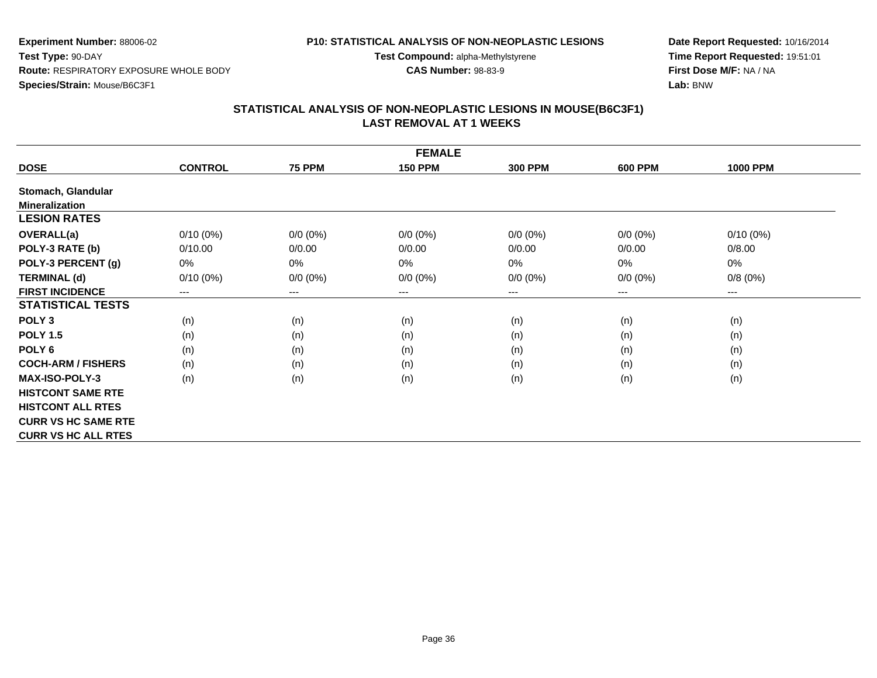# **P10: STATISTICAL ANALYSIS OF NON-NEOPLASTIC LESIONS**

**Test Compound:** alpha-Methylstyrene

**CAS Number:** 98-83-9

**Date Report Requested:** 10/16/2014**Time Report Requested:** 19:51:01**First Dose M/F:** NA / NA**Lab:** BNW

|                            | <b>FEMALE</b>  |                            |                |                |             |                        |  |  |  |  |
|----------------------------|----------------|----------------------------|----------------|----------------|-------------|------------------------|--|--|--|--|
| <b>DOSE</b>                | <b>CONTROL</b> | <b>75 PPM</b>              | <b>150 PPM</b> | <b>300 PPM</b> | 600 PPM     | <b>1000 PPM</b>        |  |  |  |  |
| Stomach, Glandular         |                |                            |                |                |             |                        |  |  |  |  |
| <b>Mineralization</b>      |                |                            |                |                |             |                        |  |  |  |  |
| <b>LESION RATES</b>        |                |                            |                |                |             |                        |  |  |  |  |
| <b>OVERALL(a)</b>          | $0/10(0\%)$    | $0/0 (0\%)$                | $0/0 (0\%)$    | $0/0 (0\%)$    | $0/0 (0\%)$ | $0/10(0\%)$            |  |  |  |  |
| POLY-3 RATE (b)            | 0/10.00        | 0/0.00                     | 0/0.00         | 0/0.00         | 0/0.00      | 0/8.00                 |  |  |  |  |
| POLY-3 PERCENT (g)         | 0%             | 0%                         | 0%             | 0%             | 0%          | 0%                     |  |  |  |  |
| <b>TERMINAL (d)</b>        | $0/10(0\%)$    | $0/0 (0\%)$                | $0/0 (0\%)$    | $0/0 (0\%)$    | $0/0 (0\%)$ | 0/8(0%)                |  |  |  |  |
| <b>FIRST INCIDENCE</b>     | ---            | $\qquad \qquad - \qquad -$ | ---            | ---            | ---         | $\qquad \qquad \cdots$ |  |  |  |  |
| <b>STATISTICAL TESTS</b>   |                |                            |                |                |             |                        |  |  |  |  |
| POLY <sub>3</sub>          | (n)            | (n)                        | (n)            | (n)            | (n)         | (n)                    |  |  |  |  |
| <b>POLY 1.5</b>            | (n)            | (n)                        | (n)            | (n)            | (n)         | (n)                    |  |  |  |  |
| POLY <sub>6</sub>          | (n)            | (n)                        | (n)            | (n)            | (n)         | (n)                    |  |  |  |  |
| <b>COCH-ARM / FISHERS</b>  | (n)            | (n)                        | (n)            | (n)            | (n)         | (n)                    |  |  |  |  |
| <b>MAX-ISO-POLY-3</b>      | (n)            | (n)                        | (n)            | (n)            | (n)         | (n)                    |  |  |  |  |
| <b>HISTCONT SAME RTE</b>   |                |                            |                |                |             |                        |  |  |  |  |
| <b>HISTCONT ALL RTES</b>   |                |                            |                |                |             |                        |  |  |  |  |
| <b>CURR VS HC SAME RTE</b> |                |                            |                |                |             |                        |  |  |  |  |
| <b>CURR VS HC ALL RTES</b> |                |                            |                |                |             |                        |  |  |  |  |